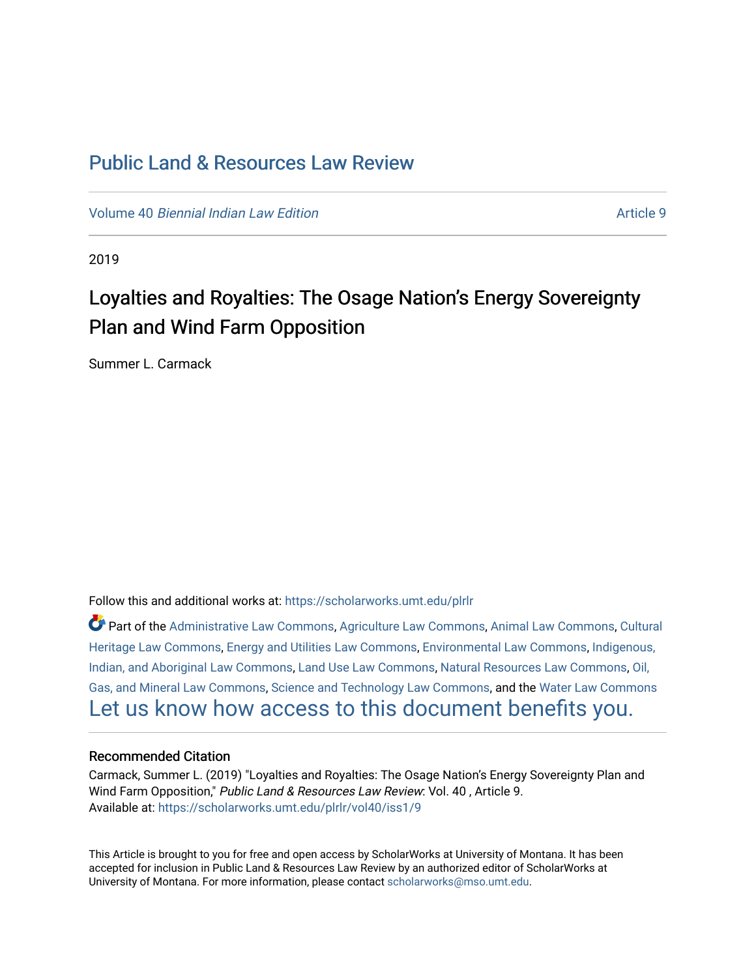# [Public Land & Resources Law Review](https://scholarworks.umt.edu/plrlr)

Volume 40 [Biennial Indian Law Edition](https://scholarworks.umt.edu/plrlr/vol40) Article 9

2019

# Loyalties and Royalties: The Osage Nation's Energy Sovereignty Plan and Wind Farm Opposition

Summer L. Carmack

Follow this and additional works at: [https://scholarworks.umt.edu/plrlr](https://scholarworks.umt.edu/plrlr?utm_source=scholarworks.umt.edu%2Fplrlr%2Fvol40%2Fiss1%2F9&utm_medium=PDF&utm_campaign=PDFCoverPages) 

Part of the [Administrative Law Commons,](http://network.bepress.com/hgg/discipline/579?utm_source=scholarworks.umt.edu%2Fplrlr%2Fvol40%2Fiss1%2F9&utm_medium=PDF&utm_campaign=PDFCoverPages) [Agriculture Law Commons](http://network.bepress.com/hgg/discipline/581?utm_source=scholarworks.umt.edu%2Fplrlr%2Fvol40%2Fiss1%2F9&utm_medium=PDF&utm_campaign=PDFCoverPages), [Animal Law Commons](http://network.bepress.com/hgg/discipline/831?utm_source=scholarworks.umt.edu%2Fplrlr%2Fvol40%2Fiss1%2F9&utm_medium=PDF&utm_campaign=PDFCoverPages), [Cultural](http://network.bepress.com/hgg/discipline/1384?utm_source=scholarworks.umt.edu%2Fplrlr%2Fvol40%2Fiss1%2F9&utm_medium=PDF&utm_campaign=PDFCoverPages)  [Heritage Law Commons](http://network.bepress.com/hgg/discipline/1384?utm_source=scholarworks.umt.edu%2Fplrlr%2Fvol40%2Fiss1%2F9&utm_medium=PDF&utm_campaign=PDFCoverPages), [Energy and Utilities Law Commons,](http://network.bepress.com/hgg/discipline/891?utm_source=scholarworks.umt.edu%2Fplrlr%2Fvol40%2Fiss1%2F9&utm_medium=PDF&utm_campaign=PDFCoverPages) [Environmental Law Commons](http://network.bepress.com/hgg/discipline/599?utm_source=scholarworks.umt.edu%2Fplrlr%2Fvol40%2Fiss1%2F9&utm_medium=PDF&utm_campaign=PDFCoverPages), [Indigenous,](http://network.bepress.com/hgg/discipline/894?utm_source=scholarworks.umt.edu%2Fplrlr%2Fvol40%2Fiss1%2F9&utm_medium=PDF&utm_campaign=PDFCoverPages)  [Indian, and Aboriginal Law Commons](http://network.bepress.com/hgg/discipline/894?utm_source=scholarworks.umt.edu%2Fplrlr%2Fvol40%2Fiss1%2F9&utm_medium=PDF&utm_campaign=PDFCoverPages), [Land Use Law Commons](http://network.bepress.com/hgg/discipline/852?utm_source=scholarworks.umt.edu%2Fplrlr%2Fvol40%2Fiss1%2F9&utm_medium=PDF&utm_campaign=PDFCoverPages), [Natural Resources Law Commons](http://network.bepress.com/hgg/discipline/863?utm_source=scholarworks.umt.edu%2Fplrlr%2Fvol40%2Fiss1%2F9&utm_medium=PDF&utm_campaign=PDFCoverPages), [Oil,](http://network.bepress.com/hgg/discipline/864?utm_source=scholarworks.umt.edu%2Fplrlr%2Fvol40%2Fiss1%2F9&utm_medium=PDF&utm_campaign=PDFCoverPages) [Gas, and Mineral Law Commons](http://network.bepress.com/hgg/discipline/864?utm_source=scholarworks.umt.edu%2Fplrlr%2Fvol40%2Fiss1%2F9&utm_medium=PDF&utm_campaign=PDFCoverPages), [Science and Technology Law Commons,](http://network.bepress.com/hgg/discipline/875?utm_source=scholarworks.umt.edu%2Fplrlr%2Fvol40%2Fiss1%2F9&utm_medium=PDF&utm_campaign=PDFCoverPages) and the [Water Law Commons](http://network.bepress.com/hgg/discipline/887?utm_source=scholarworks.umt.edu%2Fplrlr%2Fvol40%2Fiss1%2F9&utm_medium=PDF&utm_campaign=PDFCoverPages) [Let us know how access to this document benefits you.](https://goo.gl/forms/s2rGfXOLzz71qgsB2) 

# Recommended Citation

Carmack, Summer L. (2019) "Loyalties and Royalties: The Osage Nation's Energy Sovereignty Plan and Wind Farm Opposition," Public Land & Resources Law Review: Vol. 40 , Article 9. Available at: [https://scholarworks.umt.edu/plrlr/vol40/iss1/9](https://scholarworks.umt.edu/plrlr/vol40/iss1/9?utm_source=scholarworks.umt.edu%2Fplrlr%2Fvol40%2Fiss1%2F9&utm_medium=PDF&utm_campaign=PDFCoverPages)

This Article is brought to you for free and open access by ScholarWorks at University of Montana. It has been accepted for inclusion in Public Land & Resources Law Review by an authorized editor of ScholarWorks at University of Montana. For more information, please contact [scholarworks@mso.umt.edu.](mailto:scholarworks@mso.umt.edu)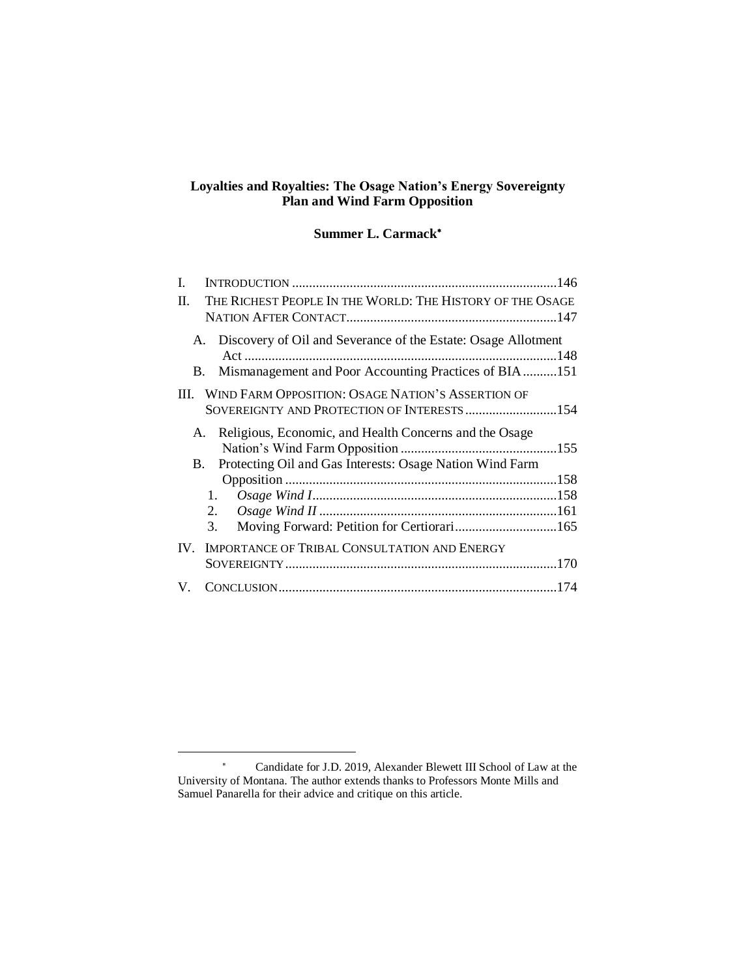# **Loyalties and Royalties: The Osage Nation's Energy Sovereignty Plan and Wind Farm Opposition**

# **Summer L. Carmack**

| L                                                                                                                                     |  |
|---------------------------------------------------------------------------------------------------------------------------------------|--|
| THE RICHEST PEOPLE IN THE WORLD: THE HISTORY OF THE OSAGE<br>H.                                                                       |  |
| Discovery of Oil and Severance of the Estate: Osage Allotment<br>А.<br>Mismanagement and Poor Accounting Practices of BIA151<br>В.    |  |
| III. WIND FARM OPPOSITION: OSAGE NATION'S ASSERTION OF<br>SOVEREIGNTY AND PROTECTION OF INTERESTS154                                  |  |
| Religious, Economic, and Health Concerns and the Osage<br>A.<br>Protecting Oil and Gas Interests: Osage Nation Wind Farm<br><b>B.</b> |  |
|                                                                                                                                       |  |
| 1.                                                                                                                                    |  |
| 2.<br>Moving Forward: Petition for Certiorari165<br>3.                                                                                |  |
| IMPORTANCE OF TRIBAL CONSULTATION AND ENERGY<br>IV.                                                                                   |  |
|                                                                                                                                       |  |
| V.                                                                                                                                    |  |

l

<sup>\*</sup> Candidate for J.D. 2019, Alexander Blewett III School of Law at the University of Montana. The author extends thanks to Professors Monte Mills and Samuel Panarella for their advice and critique on this article.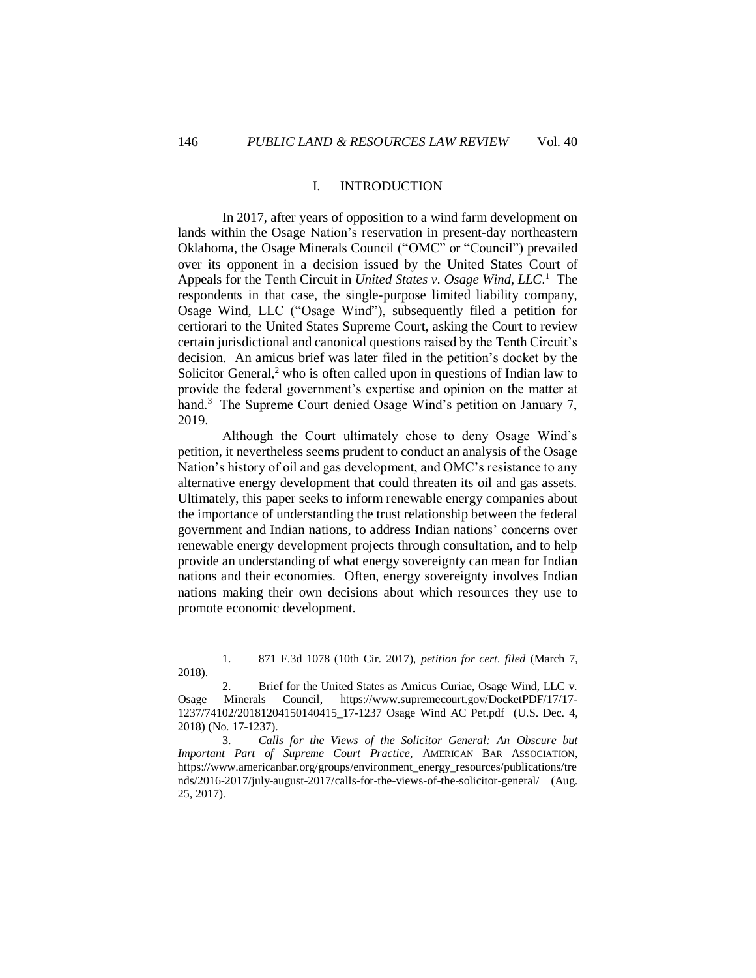#### I. INTRODUCTION

In 2017, after years of opposition to a wind farm development on lands within the Osage Nation's reservation in present-day northeastern Oklahoma, the Osage Minerals Council ("OMC" or "Council") prevailed over its opponent in a decision issued by the United States Court of Appeals for the Tenth Circuit in *United States v. Osage Wind, LLC*. <sup>1</sup> The respondents in that case, the single-purpose limited liability company, Osage Wind, LLC ("Osage Wind"), subsequently filed a petition for certiorari to the United States Supreme Court, asking the Court to review certain jurisdictional and canonical questions raised by the Tenth Circuit's decision. An amicus brief was later filed in the petition's docket by the Solicitor General,<sup>2</sup> who is often called upon in questions of Indian law to provide the federal government's expertise and opinion on the matter at hand.<sup>3</sup> The Supreme Court denied Osage Wind's petition on January 7, 2019.

Although the Court ultimately chose to deny Osage Wind's petition, it nevertheless seems prudent to conduct an analysis of the Osage Nation's history of oil and gas development, and OMC's resistance to any alternative energy development that could threaten its oil and gas assets. Ultimately, this paper seeks to inform renewable energy companies about the importance of understanding the trust relationship between the federal government and Indian nations, to address Indian nations' concerns over renewable energy development projects through consultation, and to help provide an understanding of what energy sovereignty can mean for Indian nations and their economies. Often, energy sovereignty involves Indian nations making their own decisions about which resources they use to promote economic development.

<sup>1.</sup> 871 F.3d 1078 (10th Cir. 2017), *petition for cert. filed* (March 7, 2018).

<sup>2.</sup> Brief for the United States as Amicus Curiae, Osage Wind, LLC v. Osage Minerals Council, [https://www.supremecourt.gov/DocketPDF/17/17-](https://www.supremecourt.gov/DocketPDF/17/17-1237/74102/20181204150140415_17-1237%20Osage%20Wind%20AC%20Pet.pdf) [1237/74102/20181204150140415\\_17-1237 Osage Wind AC Pet.pdf](https://www.supremecourt.gov/DocketPDF/17/17-1237/74102/20181204150140415_17-1237%20Osage%20Wind%20AC%20Pet.pdf) (U.S. Dec. 4, 2018) (No. 17-1237).

<sup>3.</sup> *Calls for the Views of the Solicitor General: An Obscure but Important Part of Supreme Court Practice*, AMERICAN BAR ASSOCIATION, [https://www.americanbar.org/groups/environment\\_energy\\_resources/publications/tre](https://www.americanbar.org/groups/environment_energy_resources/publications/trends/2016-2017/july-august-2017/calls-for-the-views-of-the-solicitor-general/) [nds/2016-2017/july-august-2017/calls-for-the-views-of-the-solicitor-general/](https://www.americanbar.org/groups/environment_energy_resources/publications/trends/2016-2017/july-august-2017/calls-for-the-views-of-the-solicitor-general/) (Aug. 25, 2017).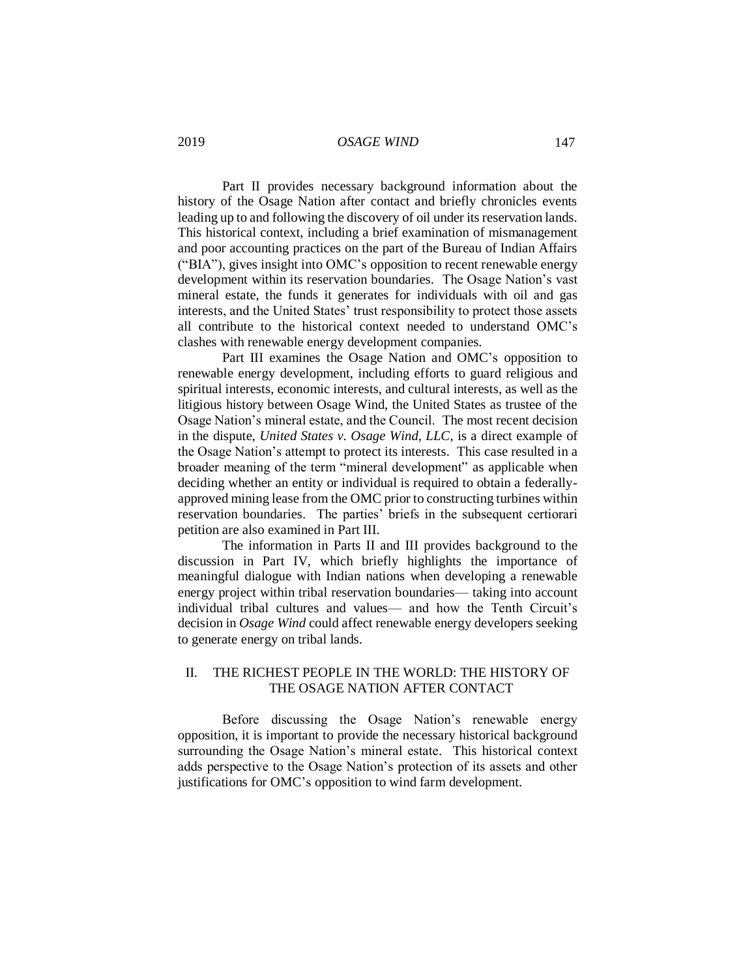Part II provides necessary background information about the history of the Osage Nation after contact and briefly chronicles events leading up to and following the discovery of oil under its reservation lands. This historical context, including a brief examination of mismanagement and poor accounting practices on the part of the Bureau of Indian Affairs ("BIA"), gives insight into OMC's opposition to recent renewable energy development within its reservation boundaries. The Osage Nation's vast mineral estate, the funds it generates for individuals with oil and gas interests, and the United States' trust responsibility to protect those assets all contribute to the historical context needed to understand OMC's clashes with renewable energy development companies.

Part III examines the Osage Nation and OMC's opposition to renewable energy development, including efforts to guard religious and spiritual interests, economic interests, and cultural interests, as well as the litigious history between Osage Wind, the United States as trustee of the Osage Nation's mineral estate, and the Council. The most recent decision in the dispute, *United States v. Osage Wind, LLC*, is a direct example of the Osage Nation's attempt to protect its interests. This case resulted in a broader meaning of the term "mineral development" as applicable when deciding whether an entity or individual is required to obtain a federallyapproved mining lease from the OMC prior to constructing turbines within reservation boundaries. The parties' briefs in the subsequent certiorari petition are also examined in Part III.

The information in Parts II and III provides background to the discussion in Part IV, which briefly highlights the importance of meaningful dialogue with Indian nations when developing a renewable energy project within tribal reservation boundaries— taking into account individual tribal cultures and values— and how the Tenth Circuit's decision in *Osage Wind* could affect renewable energy developers seeking to generate energy on tribal lands.

# II. THE RICHEST PEOPLE IN THE WORLD: THE HISTORY OF THE OSAGE NATION AFTER CONTACT

Before discussing the Osage Nation's renewable energy opposition, it is important to provide the necessary historical background surrounding the Osage Nation's mineral estate. This historical context adds perspective to the Osage Nation's protection of its assets and other justifications for OMC's opposition to wind farm development.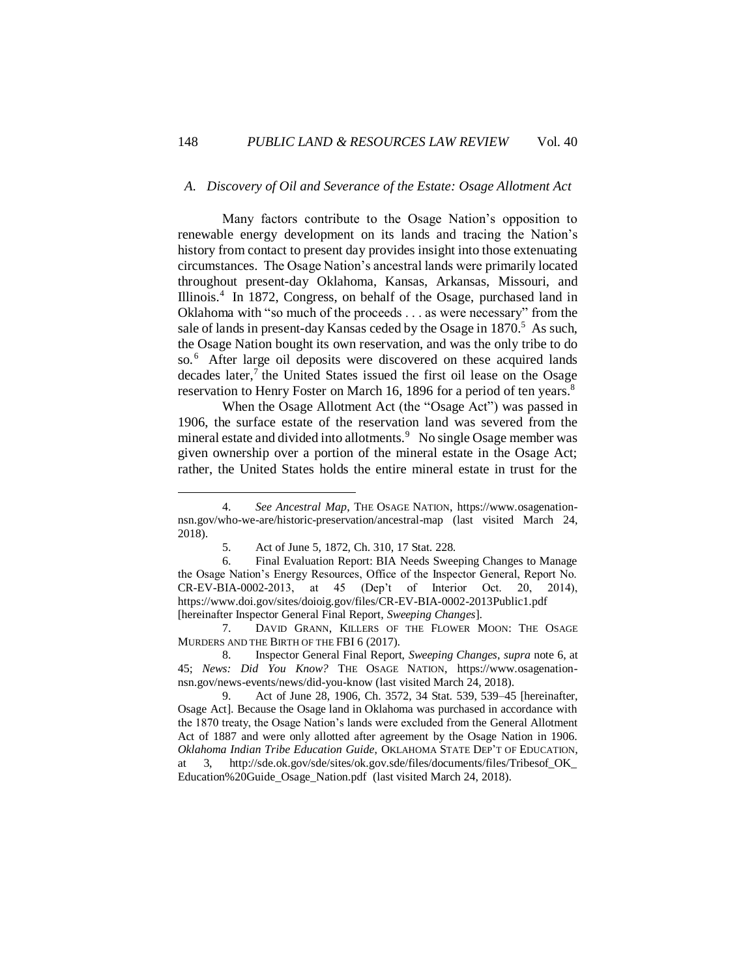# *A. Discovery of Oil and Severance of the Estate: Osage Allotment Act*

Many factors contribute to the Osage Nation's opposition to renewable energy development on its lands and tracing the Nation's history from contact to present day provides insight into those extenuating circumstances. The Osage Nation's ancestral lands were primarily located throughout present-day Oklahoma, Kansas, Arkansas, Missouri, and Illinois.<sup>4</sup> In 1872, Congress, on behalf of the Osage, purchased land in Oklahoma with "so much of the proceeds . . . as were necessary" from the sale of lands in present-day Kansas ceded by the Osage in  $1870<sup>5</sup>$  As such, the Osage Nation bought its own reservation, and was the only tribe to do so.<sup>6</sup> After large oil deposits were discovered on these acquired lands decades later,<sup>7</sup> the United States issued the first oil lease on the Osage reservation to Henry Foster on March 16, 1896 for a period of ten years.<sup>8</sup>

When the Osage Allotment Act (the "Osage Act") was passed in 1906, the surface estate of the reservation land was severed from the mineral estate and divided into allotments.<sup>9</sup> No single Osage member was given ownership over a portion of the mineral estate in the Osage Act; rather, the United States holds the entire mineral estate in trust for the

7. DAVID GRANN, KILLERS OF THE FLOWER MOON: THE OSAGE MURDERS AND THE BIRTH OF THE FBI 6 (2017).

<sup>4.</sup> *See Ancestral Map*, THE OSAGE NATION, [https://www.osagenation](https://www.osagenation-nsn.gov/who-we-are/historic-preservation/ancestral-map)[nsn.gov/who-we-are/historic-preservation/ancestral-map](https://www.osagenation-nsn.gov/who-we-are/historic-preservation/ancestral-map) (last visited March 24, 2018).

<sup>5.</sup> Act of June 5, 1872, Ch. 310, 17 Stat. 228.

<sup>6.</sup> Final Evaluation Report: BIA Needs Sweeping Changes to Manage the Osage Nation's Energy Resources, Office of the Inspector General, Report No. CR-EV-BIA-0002-2013, at 45 (Dep't of Interior Oct. 20, 2014), <https://www.doi.gov/sites/doioig.gov/files/CR-EV-BIA-0002-2013Public1.pdf> [hereinafter Inspector General Final Report, *Sweeping Changes*].

<sup>8.</sup> Inspector General Final Report, *Sweeping Changes*, *supra* note 6, at 45; *News: Did You Know?* THE OSAGE NATION, [https://www.osagenation](https://www.osagenation-nsn.gov/news-events/news/did-you-know)[nsn.gov/news-events/news/did-you-know](https://www.osagenation-nsn.gov/news-events/news/did-you-know) (last visited March 24, 2018).

<sup>9.</sup> Act of June 28, 1906, Ch. 3572, 34 Stat. 539, 539–45 [hereinafter, Osage Act]. Because the Osage land in Oklahoma was purchased in accordance with the 1870 treaty, the Osage Nation's lands were excluded from the General Allotment Act of 1887 and were only allotted after agreement by the Osage Nation in 1906. *Oklahoma Indian Tribe Education Guide*, OKLAHOMA STATE DEP'T OF EDUCATION, at 3, [http://sde.ok.gov/sde/sites/ok.gov.sde/files/documents/files/Tribesof\\_OK\\_](http://sde.ok.gov/sde/sites/ok.gov.sde/files/documents/files/Tribesof_OK_%20Education%20Guide_Osage_Nation.pdf)  [Education%20Guide\\_Osage\\_Nation.pdf](http://sde.ok.gov/sde/sites/ok.gov.sde/files/documents/files/Tribesof_OK_%20Education%20Guide_Osage_Nation.pdf) (last visited March 24, 2018).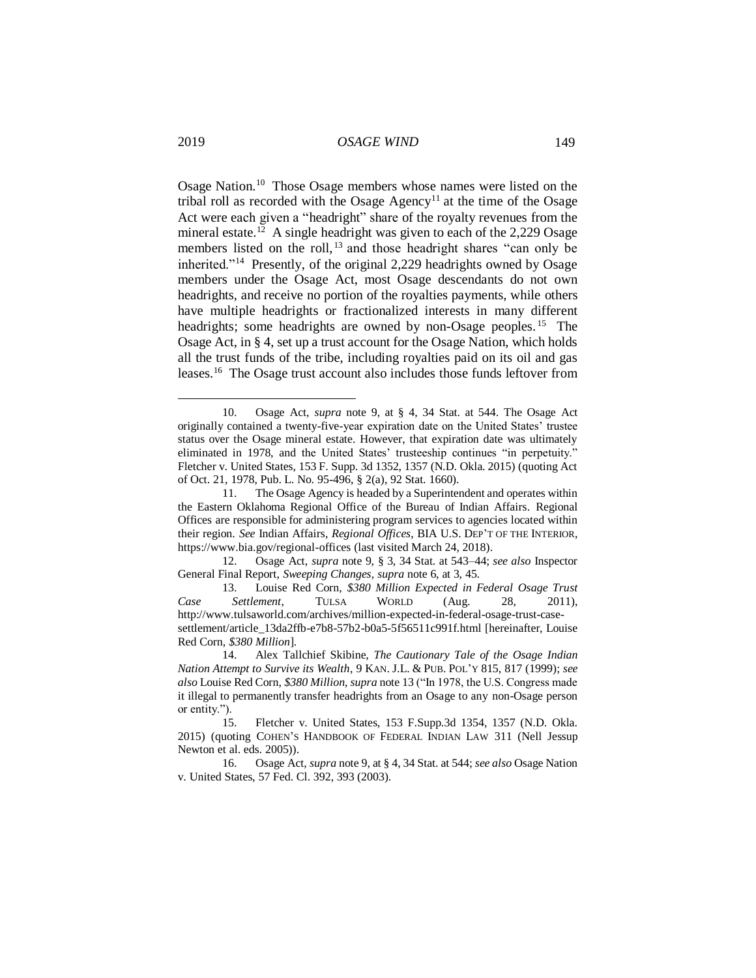Osage Nation.<sup>10</sup> Those Osage members whose names were listed on the tribal roll as recorded with the Osage  $A$ gency<sup>11</sup> at the time of the Osage Act were each given a "headright" share of the royalty revenues from the mineral estate.<sup>12</sup> A single headright was given to each of the 2,229 Osage members listed on the roll,<sup>13</sup> and those headright shares "can only be inherited."<sup>14</sup> Presently, of the original 2,229 headrights owned by Osage members under the Osage Act, most Osage descendants do not own headrights, and receive no portion of the royalties payments, while others have multiple headrights or fractionalized interests in many different headrights; some headrights are owned by non-Osage peoples.<sup>15</sup> The Osage Act, in § 4, set up a trust account for the Osage Nation, which holds all the trust funds of the tribe, including royalties paid on its oil and gas leases.<sup>16</sup> The Osage trust account also includes those funds leftover from

<sup>10.</sup> Osage Act, *supra* note 9, at § 4, 34 Stat. at 544. The Osage Act originally contained a twenty-five-year expiration date on the United States' trustee status over the Osage mineral estate. However, that expiration date was ultimately eliminated in 1978, and the United States' trusteeship continues "in perpetuity." Fletcher v. United States, 153 F. Supp. 3d 1352, 1357 (N.D. Okla. 2015) (quoting Act of Oct. 21, 1978, Pub. L. No. 95-496, § 2(a), 92 Stat. 1660).

<sup>11.</sup> The Osage Agency is headed by a Superintendent and operates within the Eastern Oklahoma Regional Office of the Bureau of Indian Affairs. Regional Offices are responsible for administering program services to agencies located within their region. *See* Indian Affairs, *Regional Offices*, BIA U.S. DEP'T OF THE INTERIOR, <https://www.bia.gov/regional-offices> (last visited March 24, 2018).

<sup>12.</sup> Osage Act, *supra* note 9, § 3, 34 Stat. at 543–44; *see also* Inspector General Final Report, *Sweeping Changes*, *supra* note 6, at 3, 45.

<sup>13.</sup> Louise Red Corn, *\$380 Million Expected in Federal Osage Trust Case Settlement*, TULSA WORLD (Aug. 28, 2011), [http://www.tulsaworld.com/archives/million-expected-in-federal-osage-trust-case](http://www.tulsaworld.com/archives/million-expected-in-federal-osage-trust-case-settlement/article_13da2ffb-e7b8-57b2-b0a5-5f56511c991f.html)[settlement/article\\_13da2ffb-e7b8-57b2-b0a5-5f56511c991f.html](http://www.tulsaworld.com/archives/million-expected-in-federal-osage-trust-case-settlement/article_13da2ffb-e7b8-57b2-b0a5-5f56511c991f.html) [hereinafter, Louise Red Corn, *\$380 Million*].

<sup>14.</sup> Alex Tallchief Skibine, *The Cautionary Tale of the Osage Indian Nation Attempt to Survive its Wealth*, 9 KAN. J.L. & PUB. POL'Y 815, 817 (1999); *see also* Louise Red Corn, *\$380 Million*, *supra* note 13 ("In 1978, the U.S. Congress made it illegal to permanently transfer headrights from an Osage to any non-Osage person or entity.").

<sup>15.</sup> Fletcher v. United States, 153 F.Supp.3d 1354, 1357 (N.D. Okla. 2015) (quoting COHEN'S HANDBOOK OF FEDERAL INDIAN LAW 311 (Nell Jessup Newton et al. eds. 2005)).

<sup>16.</sup> Osage Act, *supra* note 9, at § 4, 34 Stat. at 544; *see also* Osage Nation v. United States, 57 Fed. Cl. 392, 393 (2003).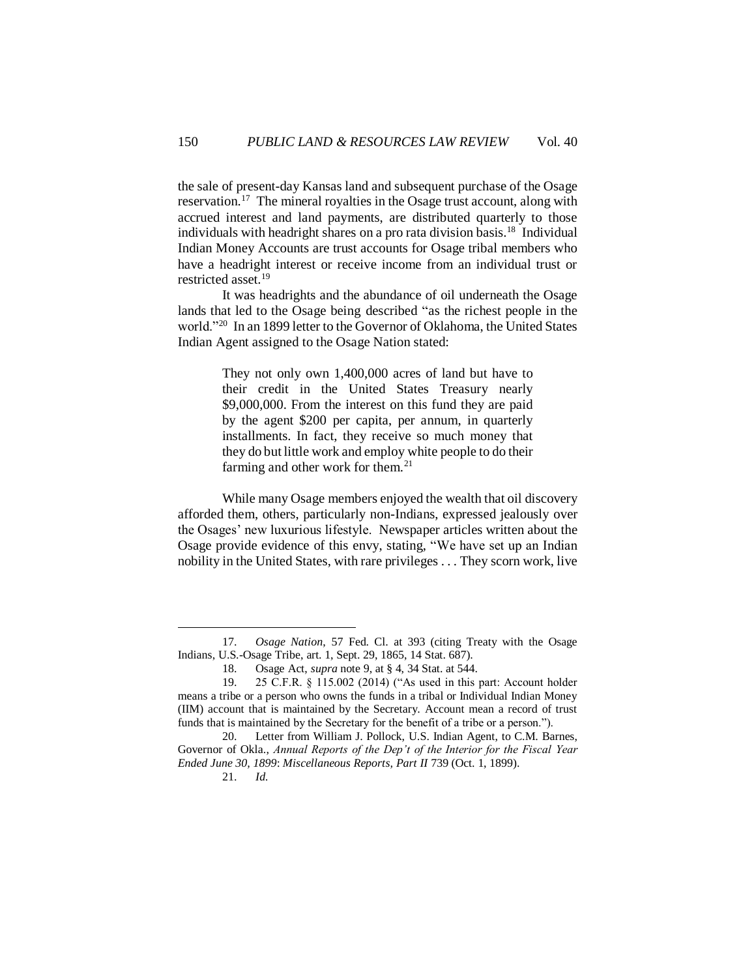the sale of present-day Kansas land and subsequent purchase of the Osage reservation.<sup>17</sup> The mineral royalties in the Osage trust account, along with accrued interest and land payments, are distributed quarterly to those individuals with headright shares on a pro rata division basis.<sup>18</sup> Individual Indian Money Accounts are trust accounts for Osage tribal members who have a headright interest or receive income from an individual trust or restricted asset.<sup>19</sup>

It was headrights and the abundance of oil underneath the Osage lands that led to the Osage being described "as the richest people in the world."<sup>20</sup> In an 1899 letter to the Governor of Oklahoma, the United States Indian Agent assigned to the Osage Nation stated:

> They not only own 1,400,000 acres of land but have to their credit in the United States Treasury nearly \$9,000,000. From the interest on this fund they are paid by the agent \$200 per capita, per annum, in quarterly installments. In fact, they receive so much money that they do but little work and employ white people to do their farming and other work for them.<sup>21</sup>

While many Osage members enjoyed the wealth that oil discovery afforded them, others, particularly non-Indians, expressed jealously over the Osages' new luxurious lifestyle. Newspaper articles written about the Osage provide evidence of this envy, stating, "We have set up an Indian nobility in the United States, with rare privileges . . . They scorn work, live

<sup>17.</sup> *Osage Nation*, 57 Fed. Cl. at 393 (citing Treaty with the Osage Indians, U.S.-Osage Tribe, art. 1, Sept. 29, 1865, 14 Stat. 687).

<sup>18.</sup> Osage Act, *supra* note 9, at § 4, 34 Stat. at 544.

<sup>19. 25</sup> C.F.R. § 115.002 (2014) ("As used in this part: Account holder means a tribe or a person who owns the funds in a tribal or Individual Indian Money (IIM) account that is maintained by the Secretary. Account mean a record of trust funds that is maintained by the Secretary for the benefit of a tribe or a person.").

<sup>20.</sup> Letter from William J. Pollock, U.S. Indian Agent, to C.M. Barnes, Governor of Okla., *Annual Reports of the Dep't of the Interior for the Fiscal Year Ended June 30, 1899*: *Miscellaneous Reports, Part II* 739 (Oct. 1, 1899).

<sup>21.</sup> *Id.*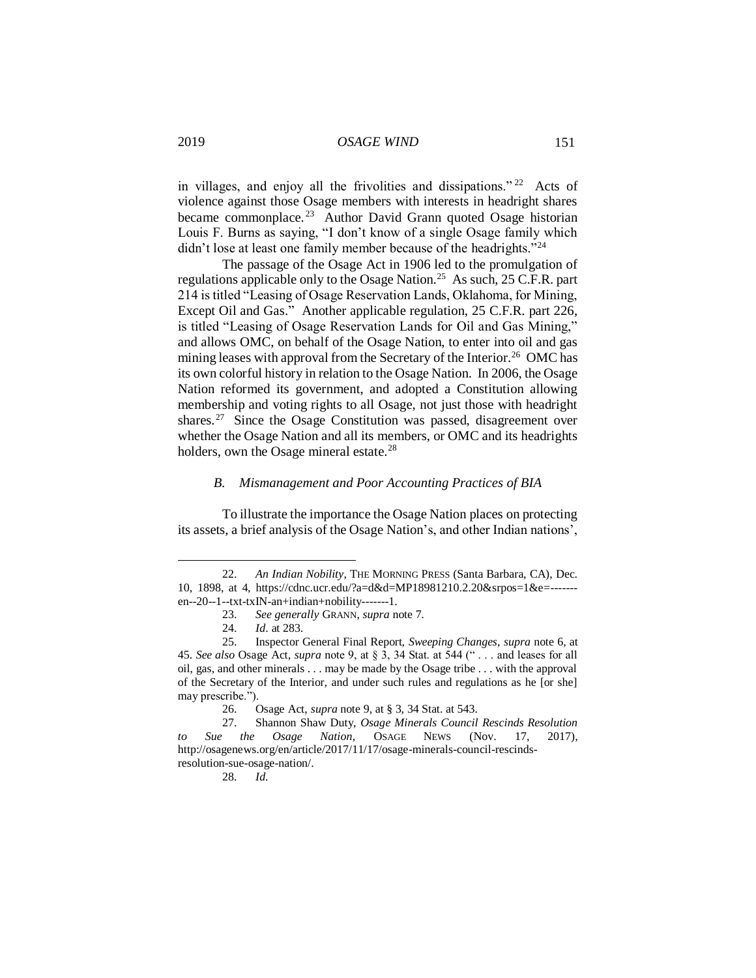in villages, and enjoy all the frivolities and dissipations." <sup>22</sup> Acts of violence against those Osage members with interests in headright shares became commonplace.<sup>23</sup> Author David Grann quoted Osage historian Louis F. Burns as saying, "I don't know of a single Osage family which didn't lose at least one family member because of the headrights."<sup>24</sup>

The passage of the Osage Act in 1906 led to the promulgation of regulations applicable only to the Osage Nation.<sup>25</sup> As such, 25 C.F.R. part 214 is titled "Leasing of Osage Reservation Lands, Oklahoma, for Mining, Except Oil and Gas." Another applicable regulation, 25 C.F.R. part 226, is titled "Leasing of Osage Reservation Lands for Oil and Gas Mining," and allows OMC, on behalf of the Osage Nation, to enter into oil and gas mining leases with approval from the Secretary of the Interior.<sup>26</sup> OMC has its own colorful history in relation to the Osage Nation. In 2006, the Osage Nation reformed its government, and adopted a Constitution allowing membership and voting rights to all Osage, not just those with headright shares.<sup>27</sup> Since the Osage Constitution was passed, disagreement over whether the Osage Nation and all its members, or OMC and its headrights holders, own the Osage mineral estate.<sup>28</sup>

# *B. Mismanagement and Poor Accounting Practices of BIA*

To illustrate the importance the Osage Nation places on protecting its assets, a brief analysis of the Osage Nation's, and other Indian nations',

 $\overline{a}$ 

28. *Id.*

<sup>22.</sup> *An Indian Nobility*, THE MORNING PRESS (Santa Barbara, CA), Dec. 10, 1898, at 4, [https://cdnc.ucr.edu/?a=d&d=MP18981210.2.20&srpos=1&e=------](https://cdnc.ucr.edu/?a=d&d=MP18981210.2.20&srpos=1&e=-------en--20--1--txt-txIN-an+indian+nobility-------1) [en--20--1--txt-txIN-an+indian+nobility-------1.](https://cdnc.ucr.edu/?a=d&d=MP18981210.2.20&srpos=1&e=-------en--20--1--txt-txIN-an+indian+nobility-------1)

<sup>23.</sup> *See generally* GRANN, *supra* note 7.

<sup>24.</sup> *Id*. at 283.

<sup>25.</sup> Inspector General Final Report, *Sweeping Changes*, *supra* note 6, at 45. *See also* Osage Act, *supra* note 9, at § 3, 34 Stat. at 544 (" . . . and leases for all oil, gas, and other minerals . . . may be made by the Osage tribe . . . with the approval of the Secretary of the Interior, and under such rules and regulations as he [or she] may prescribe.").

<sup>26.</sup> Osage Act, *supra* note 9, at § 3, 34 Stat. at 543.

<sup>27.</sup> Shannon Shaw Duty, *Osage Minerals Council Rescinds Resolution to Sue the Osage Nation*, OSAGE NEWS (Nov. 17, 2017), [http://osagenews.org/en/article/2017/11/17/osage-minerals-council-rescinds](http://osagenews.org/en/article/2017/11/17/osage-minerals-council-rescinds-resolution-sue-osage-nation/)[resolution-sue-osage-nation/.](http://osagenews.org/en/article/2017/11/17/osage-minerals-council-rescinds-resolution-sue-osage-nation/)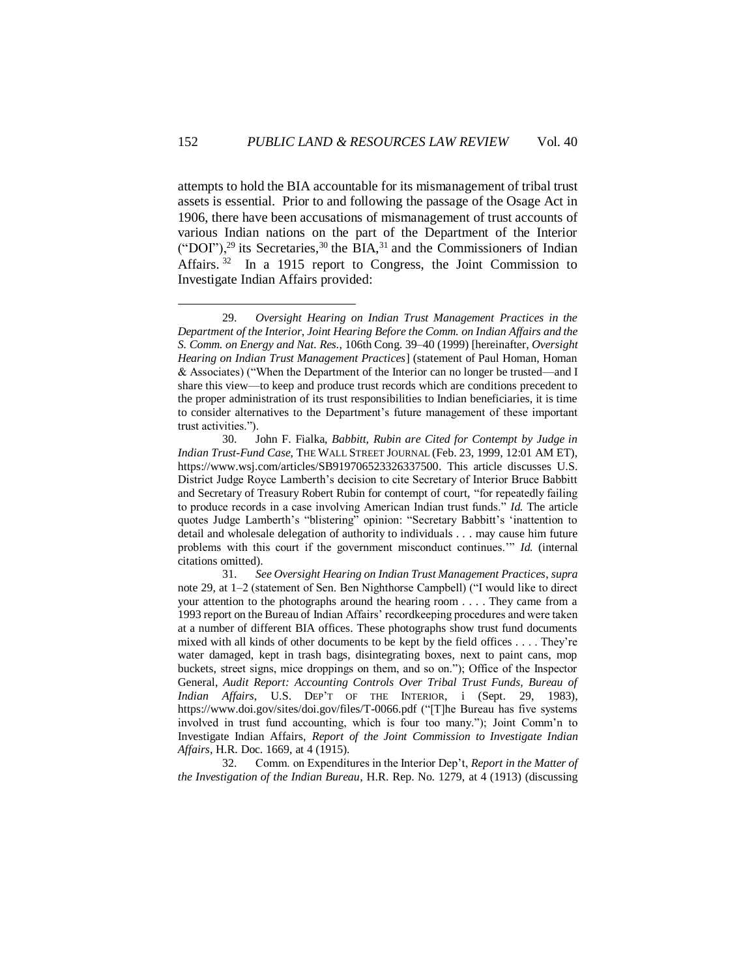attempts to hold the BIA accountable for its mismanagement of tribal trust assets is essential. Prior to and following the passage of the Osage Act in 1906, there have been accusations of mismanagement of trust accounts of various Indian nations on the part of the Department of the Interior ("DOI"),<sup>29</sup> its Secretaries,<sup>30</sup> the BIA,<sup>31</sup> and the Commissioners of Indian Affairs.<sup>32</sup> In a 1915 report to Congress, the Joint Commission to Investigate Indian Affairs provided:

 $\overline{a}$ 

32. Comm. on Expenditures in the Interior Dep't, *Report in the Matter of the Investigation of the Indian Bureau*, H.R. Rep. No. 1279, at 4 (1913) (discussing

<sup>29.</sup> *Oversight Hearing on Indian Trust Management Practices in the Department of the Interior*, *Joint Hearing Before the Comm. on Indian Affairs and the S. Comm. on Energy and Nat. Res.*, 106th Cong. 39–40 (1999) [hereinafter, *Oversight Hearing on Indian Trust Management Practices*] (statement of Paul Homan, Homan & Associates) ("When the Department of the Interior can no longer be trusted—and I share this view—to keep and produce trust records which are conditions precedent to the proper administration of its trust responsibilities to Indian beneficiaries, it is time to consider alternatives to the Department's future management of these important trust activities.").

<sup>30.</sup> John F. Fialka, *Babbitt, Rubin are Cited for Contempt by Judge in Indian Trust-Fund Case*, THE WALL STREET JOURNAL (Feb. 23, 1999, 12:01 AM ET), [https://www.wsj.com/articles/SB919706523326337500.](https://www.wsj.com/articles/SB919706523326337500) This article discusses U.S. District Judge Royce Lamberth's decision to cite Secretary of Interior Bruce Babbitt and Secretary of Treasury Robert Rubin for contempt of court, "for repeatedly failing to produce records in a case involving American Indian trust funds." *Id.* The article quotes Judge Lamberth's "blistering" opinion: "Secretary Babbitt's 'inattention to detail and wholesale delegation of authority to individuals . . . may cause him future problems with this court if the government misconduct continues.'" *Id.* (internal citations omitted).

<sup>31.</sup> *See Oversight Hearing on Indian Trust Management Practices*, *supra*  note 29, at 1–2 (statement of Sen. Ben Nighthorse Campbell) ("I would like to direct your attention to the photographs around the hearing room . . . . They came from a 1993 report on the Bureau of Indian Affairs' recordkeeping procedures and were taken at a number of different BIA offices. These photographs show trust fund documents mixed with all kinds of other documents to be kept by the field offices . . . . They're water damaged, kept in trash bags, disintegrating boxes, next to paint cans, mop buckets, street signs, mice droppings on them, and so on."); Office of the Inspector General, *Audit Report: Accounting Controls Over Tribal Trust Funds, Bureau of Indian Affairs*, U.S. DEP'T OF THE INTERIOR, i (Sept. 29, 1983), <https://www.doi.gov/sites/doi.gov/files/T-0066.pdf> ("[T]he Bureau has five systems involved in trust fund accounting, which is four too many."); Joint Comm'n to Investigate Indian Affairs, *Report of the Joint Commission to Investigate Indian Affairs*, H.R. Doc. 1669, at 4 (1915).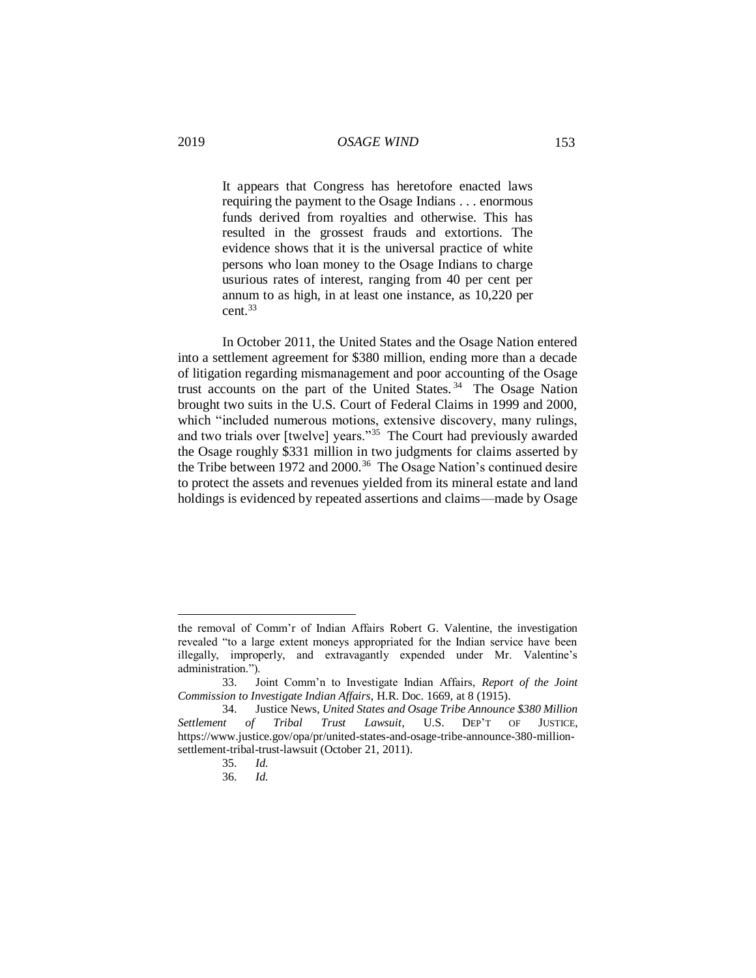It appears that Congress has heretofore enacted laws requiring the payment to the Osage Indians . . . enormous funds derived from royalties and otherwise. This has resulted in the grossest frauds and extortions. The evidence shows that it is the universal practice of white persons who loan money to the Osage Indians to charge usurious rates of interest, ranging from 40 per cent per annum to as high, in at least one instance, as 10,220 per cent<sup>33</sup>

In October 2011, the United States and the Osage Nation entered into a settlement agreement for \$380 million, ending more than a decade of litigation regarding mismanagement and poor accounting of the Osage trust accounts on the part of the United States. <sup>34</sup> The Osage Nation brought two suits in the U.S. Court of Federal Claims in 1999 and 2000, which "included numerous motions, extensive discovery, many rulings, and two trials over [twelve] years."<sup>35</sup> The Court had previously awarded the Osage roughly \$331 million in two judgments for claims asserted by the Tribe between 1972 and 2000.<sup>36</sup> The Osage Nation's continued desire to protect the assets and revenues yielded from its mineral estate and land holdings is evidenced by repeated assertions and claims—made by Osage

35. *Id.*

 $\overline{a}$ 

36. *Id.*

the removal of Comm'r of Indian Affairs Robert G. Valentine, the investigation revealed "to a large extent moneys appropriated for the Indian service have been illegally, improperly, and extravagantly expended under Mr. Valentine's administration.").

<sup>33.</sup> Joint Comm'n to Investigate Indian Affairs, *Report of the Joint Commission to Investigate Indian Affairs*, H.R. Doc. 1669, at 8 (1915).

<sup>34.</sup> Justice News, *United States and Osage Tribe Announce \$380 Million Settlement of Tribal Trust Lawsuit*, U.S. DEP'T OF JUSTICE, [https://www.justice.gov/opa/pr/united-states-and-osage-tribe-announce-380-million](https://www.justice.gov/opa/pr/united-states-and-osage-tribe-announce-380-million-settlement-tribal-trust-lawsuit)[settlement-tribal-trust-lawsuit](https://www.justice.gov/opa/pr/united-states-and-osage-tribe-announce-380-million-settlement-tribal-trust-lawsuit) (October 21, 2011).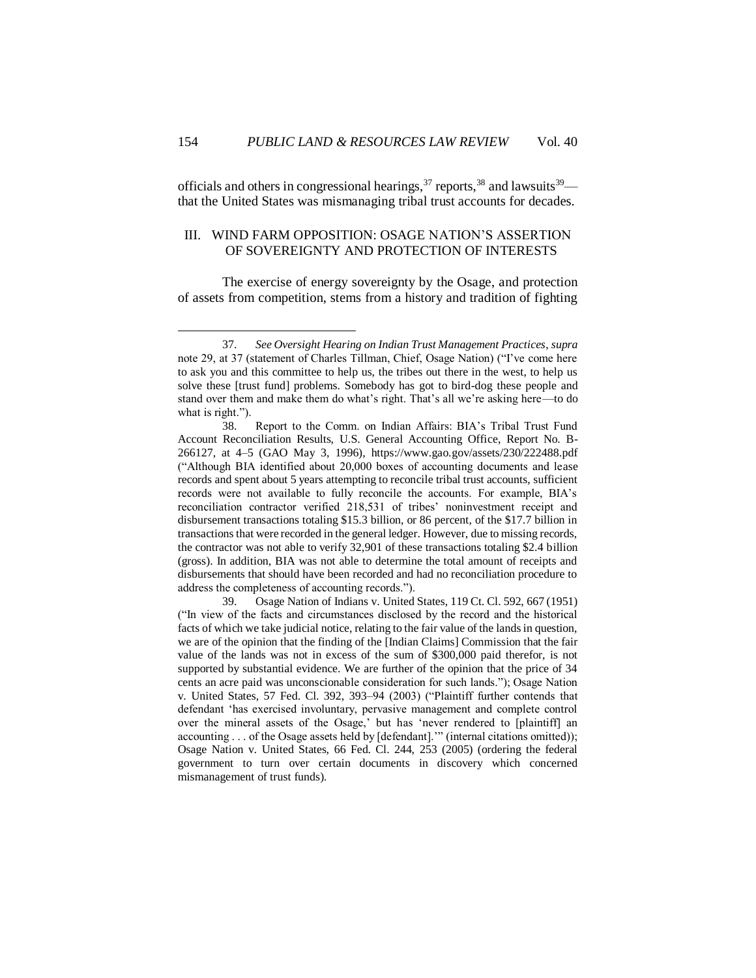officials and others in congressional hearings,  $37$  reports,  $38$  and lawsuits  $39$  that the United States was mismanaging tribal trust accounts for decades.

# III. WIND FARM OPPOSITION: OSAGE NATION'S ASSERTION OF SOVEREIGNTY AND PROTECTION OF INTERESTS

The exercise of energy sovereignty by the Osage, and protection of assets from competition, stems from a history and tradition of fighting

<sup>37.</sup> *See Oversight Hearing on Indian Trust Management Practices*, *supra*  note 29, at 37 (statement of Charles Tillman, Chief, Osage Nation) ("I've come here to ask you and this committee to help us, the tribes out there in the west, to help us solve these [trust fund] problems. Somebody has got to bird-dog these people and stand over them and make them do what's right. That's all we're asking here—to do what is right.").

<sup>38.</sup> Report to the Comm. on Indian Affairs: BIA's Tribal Trust Fund Account Reconciliation Results, U.S. General Accounting Office, Report No. B-266127, at 4–5 (GAO May 3, 1996),<https://www.gao.gov/assets/230/222488.pdf> ("Although BIA identified about 20,000 boxes of accounting documents and lease records and spent about 5 years attempting to reconcile tribal trust accounts, sufficient records were not available to fully reconcile the accounts. For example, BIA's reconciliation contractor verified 218,531 of tribes' noninvestment receipt and disbursement transactions totaling \$15.3 billion, or 86 percent, of the \$17.7 billion in transactions that were recorded in the general ledger. However, due to missing records, the contractor was not able to verify 32,901 of these transactions totaling \$2.4 billion (gross). In addition, BIA was not able to determine the total amount of receipts and disbursements that should have been recorded and had no reconciliation procedure to address the completeness of accounting records.").

<sup>39.</sup> Osage Nation of Indians v. United States, 119 Ct. Cl. 592, 667 (1951) ("In view of the facts and circumstances disclosed by the record and the historical facts of which we take judicial notice, relating to the fair value of the lands in question, we are of the opinion that the finding of the [Indian Claims] Commission that the fair value of the lands was not in excess of the sum of \$300,000 paid therefor, is not supported by substantial evidence. We are further of the opinion that the price of 34 cents an acre paid was unconscionable consideration for such lands."); Osage Nation v. United States, 57 Fed. Cl. 392, 393–94 (2003) ("Plaintiff further contends that defendant 'has exercised involuntary, pervasive management and complete control over the mineral assets of the Osage,' but has 'never rendered to [plaintiff] an accounting . . . of the Osage assets held by [defendant].'" (internal citations omitted)); Osage Nation v. United States, 66 Fed. Cl. 244, 253 (2005) (ordering the federal government to turn over certain documents in discovery which concerned mismanagement of trust funds).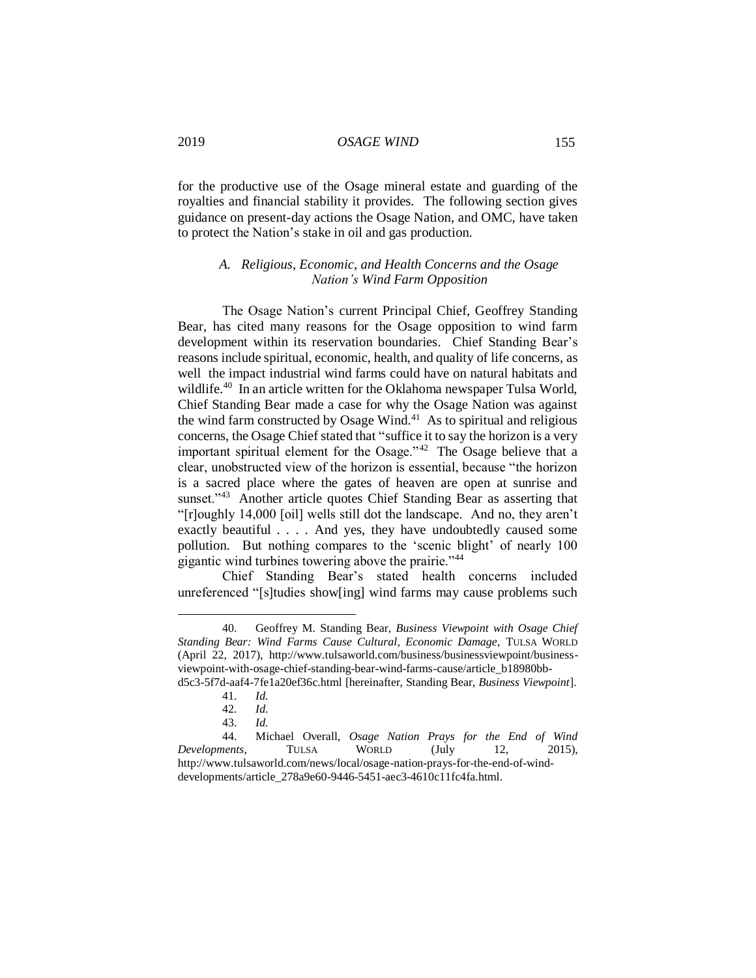for the productive use of the Osage mineral estate and guarding of the royalties and financial stability it provides. The following section gives guidance on present-day actions the Osage Nation, and OMC, have taken to protect the Nation's stake in oil and gas production.

# *A. Religious, Economic, and Health Concerns and the Osage Nation's Wind Farm Opposition*

The Osage Nation's current Principal Chief, Geoffrey Standing Bear, has cited many reasons for the Osage opposition to wind farm development within its reservation boundaries. Chief Standing Bear's reasons include spiritual, economic, health, and quality of life concerns, as well the impact industrial wind farms could have on natural habitats and wildlife.<sup>40</sup> In an article written for the Oklahoma newspaper Tulsa World, Chief Standing Bear made a case for why the Osage Nation was against the wind farm constructed by Osage Wind. $41$  As to spiritual and religious concerns, the Osage Chief stated that "suffice it to say the horizon is a very important spiritual element for the Osage."<sup>42</sup> The Osage believe that a clear, unobstructed view of the horizon is essential, because "the horizon is a sacred place where the gates of heaven are open at sunrise and sunset."<sup>43</sup> Another article quotes Chief Standing Bear as asserting that "[r]oughly 14,000 [oil] wells still dot the landscape. And no, they aren't exactly beautiful . . . . And yes, they have undoubtedly caused some pollution. But nothing compares to the 'scenic blight' of nearly 100 gigantic wind turbines towering above the prairie."<sup>44</sup>

Chief Standing Bear's stated health concerns included unreferenced "[s]tudies show[ing] wind farms may cause problems such

<sup>40.</sup> Geoffrey M. Standing Bear, *Business Viewpoint with Osage Chief Standing Bear: Wind Farms Cause Cultural, Economic Damage*, TULSA WORLD (April 22, 2017), [http://www.tulsaworld.com/business/businessviewpoint/business](http://www.tulsaworld.com/business/businessviewpoint/business-viewpoint-with-osage-chief-standing-bear-wind-farms-cause/article_b18980bb-d5c3-5f7d-aaf4-7fe1a20ef36c.html)[viewpoint-with-osage-chief-standing-bear-wind-farms-cause/article\\_b18980bb](http://www.tulsaworld.com/business/businessviewpoint/business-viewpoint-with-osage-chief-standing-bear-wind-farms-cause/article_b18980bb-d5c3-5f7d-aaf4-7fe1a20ef36c.html)[d5c3-5f7d-aaf4-7fe1a20ef36c.html](http://www.tulsaworld.com/business/businessviewpoint/business-viewpoint-with-osage-chief-standing-bear-wind-farms-cause/article_b18980bb-d5c3-5f7d-aaf4-7fe1a20ef36c.html) [hereinafter, Standing Bear, *Business Viewpoint*].

<sup>41.</sup> *Id.*

<sup>42.</sup> *Id.*

<sup>43.</sup> *Id.*

<sup>44.</sup> Michael Overall, *Osage Nation Prays for the End of Wind Developments*, TULSA WORLD (July 12, 2015), [http://www.tulsaworld.com/news/local/osage-nation-prays-for-the-end-of-wind](http://www.tulsaworld.com/news/local/osage-nation-prays-for-the-end-of-wind-developments/article_278a9e60-9446-5451-aec3-4610c11fc4fa.html)[developments/article\\_278a9e60-9446-5451-aec3-4610c11fc4fa.html.](http://www.tulsaworld.com/news/local/osage-nation-prays-for-the-end-of-wind-developments/article_278a9e60-9446-5451-aec3-4610c11fc4fa.html)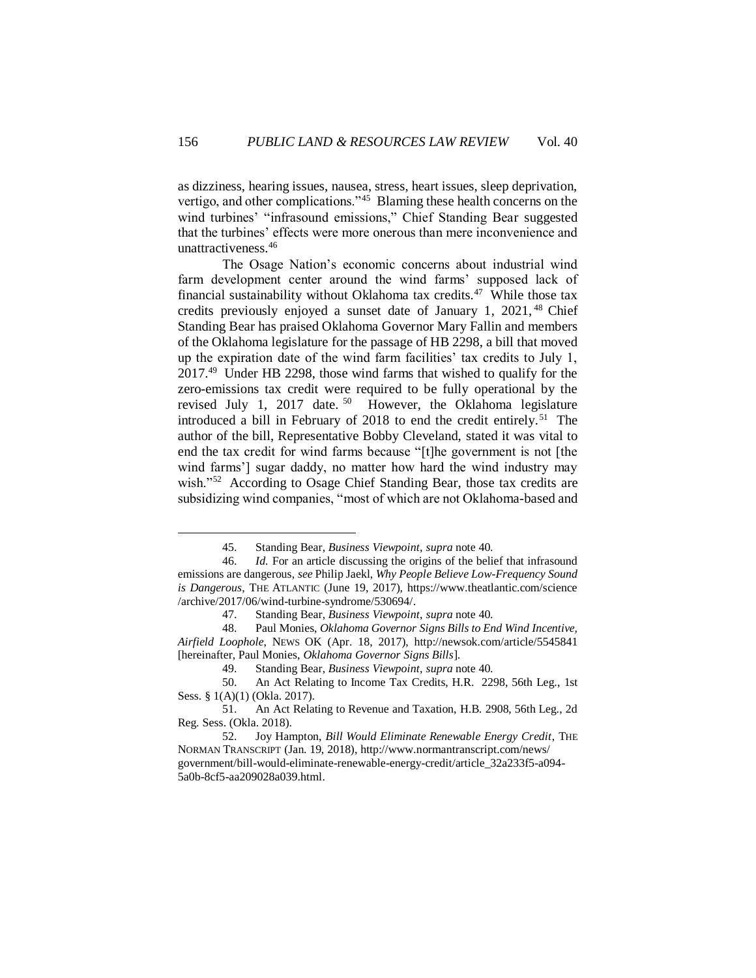as dizziness, hearing issues, nausea, stress, heart issues, sleep deprivation, vertigo, and other complications."<sup>45</sup> Blaming these health concerns on the wind turbines' "infrasound emissions," Chief Standing Bear suggested that the turbines' effects were more onerous than mere inconvenience and unattractiveness.<sup>46</sup>

The Osage Nation's economic concerns about industrial wind farm development center around the wind farms' supposed lack of financial sustainability without Oklahoma tax credits.<sup>47</sup> While those tax credits previously enjoyed a sunset date of January 1, 2021, <sup>48</sup> Chief Standing Bear has praised Oklahoma Governor Mary Fallin and members of the Oklahoma legislature for the passage of HB 2298, a bill that moved up the expiration date of the wind farm facilities' tax credits to July 1, 2017.<sup>49</sup> Under HB 2298, those wind farms that wished to qualify for the zero-emissions tax credit were required to be fully operational by the revised July 1, 2017 date.<sup>50</sup> However, the Oklahoma legislature introduced a bill in February of 2018 to end the credit entirely.<sup>51</sup> The author of the bill, Representative Bobby Cleveland, stated it was vital to end the tax credit for wind farms because "[t]he government is not [the wind farms'] sugar daddy, no matter how hard the wind industry may wish."<sup>52</sup> According to Osage Chief Standing Bear, those tax credits are subsidizing wind companies, "most of which are not Oklahoma-based and

<sup>45.</sup> Standing Bear, *Business Viewpoint*, *supra* note 40.

<sup>46.</sup> *Id.* For an article discussing the origins of the belief that infrasound emissions are dangerous, *see* Philip Jaekl, *Why People Believe Low-Frequency Sound is Dangerous*, THE ATLANTIC (June 19, 2017), [https://www.theatlantic.com/science](https://www.theatlantic.com/science/archive/2017/06/wind-turbine-syndrome/530694/) [/archive/2017/06/wind-turbine-syndrome/530694/.](https://www.theatlantic.com/science/archive/2017/06/wind-turbine-syndrome/530694/)

<sup>47.</sup> Standing Bear, *Business Viewpoint*, *supra* note 40.

<sup>48.</sup> Paul Monies, *Oklahoma Governor Signs Bills to End Wind Incentive, Airfield Loophole*, NEWS OK (Apr. 18, 2017),<http://newsok.com/article/5545841> [hereinafter, Paul Monies, *Oklahoma Governor Signs Bills*].

<sup>49.</sup> Standing Bear, *Business Viewpoint*, *supra* note 40.

<sup>50.</sup> An Act Relating to Income Tax Credits, H.R. 2298, 56th Leg., 1st Sess. § 1(A)(1) (Okla. 2017).

<sup>51.</sup> An Act Relating to Revenue and Taxation, H.B. 2908, 56th Leg., 2d Reg. Sess. (Okla. 2018).

<sup>52.</sup> Joy Hampton, *Bill Would Eliminate Renewable Energy Credit*, THE NORMAN TRANSCRIPT (Jan. 19, 2018), [http://www.normantranscript.com/news/](http://www.normantranscript.com/news/government/bill-would-eliminate-renewable-energy-credit/article_32a233f5-a094-5a0b-8cf5-aa209028a039.html) [government/bill-would-eliminate-renewable-energy-credit/article\\_32a233f5-a094-](http://www.normantranscript.com/news/government/bill-would-eliminate-renewable-energy-credit/article_32a233f5-a094-5a0b-8cf5-aa209028a039.html) [5a0b-8cf5-aa209028a039.html.](http://www.normantranscript.com/news/government/bill-would-eliminate-renewable-energy-credit/article_32a233f5-a094-5a0b-8cf5-aa209028a039.html)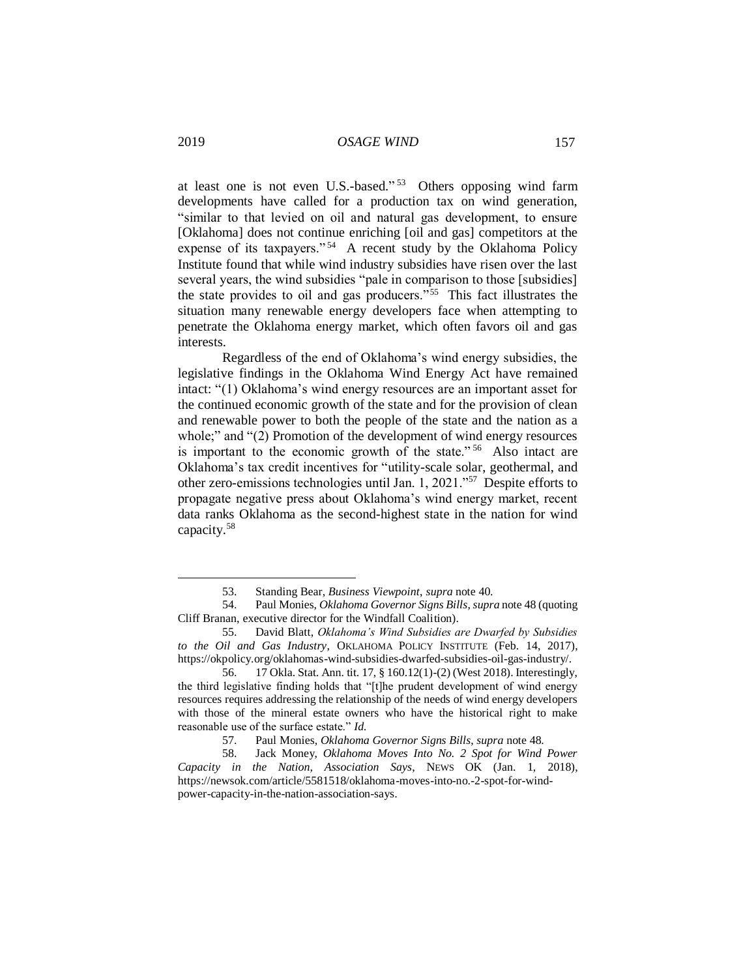at least one is not even U.S.-based."<sup>53</sup> Others opposing wind farm developments have called for a production tax on wind generation, "similar to that levied on oil and natural gas development, to ensure [Oklahoma] does not continue enriching [oil and gas] competitors at the expense of its taxpayers." <sup>54</sup> A recent study by the Oklahoma Policy Institute found that while wind industry subsidies have risen over the last several years, the wind subsidies "pale in comparison to those [subsidies] the state provides to oil and gas producers."<sup>55</sup> This fact illustrates the situation many renewable energy developers face when attempting to penetrate the Oklahoma energy market, which often favors oil and gas interests.

Regardless of the end of Oklahoma's wind energy subsidies, the legislative findings in the Oklahoma Wind Energy Act have remained intact: "(1) Oklahoma's wind energy resources are an important asset for the continued economic growth of the state and for the provision of clean and renewable power to both the people of the state and the nation as a whole;" and "(2) Promotion of the development of wind energy resources is important to the economic growth of the state."<sup>56</sup> Also intact are Oklahoma's tax credit incentives for "utility-scale solar, geothermal, and other zero-emissions technologies until Jan. 1, 2021."<sup>57</sup> Despite efforts to propagate negative press about Oklahoma's wind energy market, recent data ranks Oklahoma as the second-highest state in the nation for wind capacity.<sup>58</sup>

<sup>53.</sup> Standing Bear, *Business Viewpoint*, *supra* note 40.

<sup>54.</sup> Paul Monies, *Oklahoma Governor Signs Bills*, *supra* note 48 (quoting Cliff Branan, executive director for the Windfall Coalition).

<sup>55.</sup> David Blatt, *Oklahoma's Wind Subsidies are Dwarfed by Subsidies to the Oil and Gas Industry*, OKLAHOMA POLICY INSTITUTE (Feb. 14, 2017), [https://okpolicy.org/oklahomas-wind-subsidies-dwarfed-subsidies-oil-gas-industry/.](https://okpolicy.org/oklahomas-wind-subsidies-dwarfed-subsidies-oil-gas-industry/)

<sup>56. 17</sup> Okla. Stat. Ann. tit. 17, § 160.12(1)-(2) (West 2018). Interestingly, the third legislative finding holds that "[t]he prudent development of wind energy resources requires addressing the relationship of the needs of wind energy developers with those of the mineral estate owners who have the historical right to make reasonable use of the surface estate." *Id.*

<sup>57.</sup> Paul Monies, *Oklahoma Governor Signs Bills*, *supra* note 48.

<sup>58.</sup> Jack Money, *Oklahoma Moves Into No. 2 Spot for Wind Power Capacity in the Nation, Association Says*, NEWS OK (Jan. 1, 2018), [https://newsok.com/article/5581518/oklahoma-moves-into-no.-2-spot-for-wind](https://newsok.com/article/5581518/oklahoma-moves-into-no.-2-spot-for-wind-power-capacity-in-the-nation-association-says)[power-capacity-in-the-nation-association-says.](https://newsok.com/article/5581518/oklahoma-moves-into-no.-2-spot-for-wind-power-capacity-in-the-nation-association-says)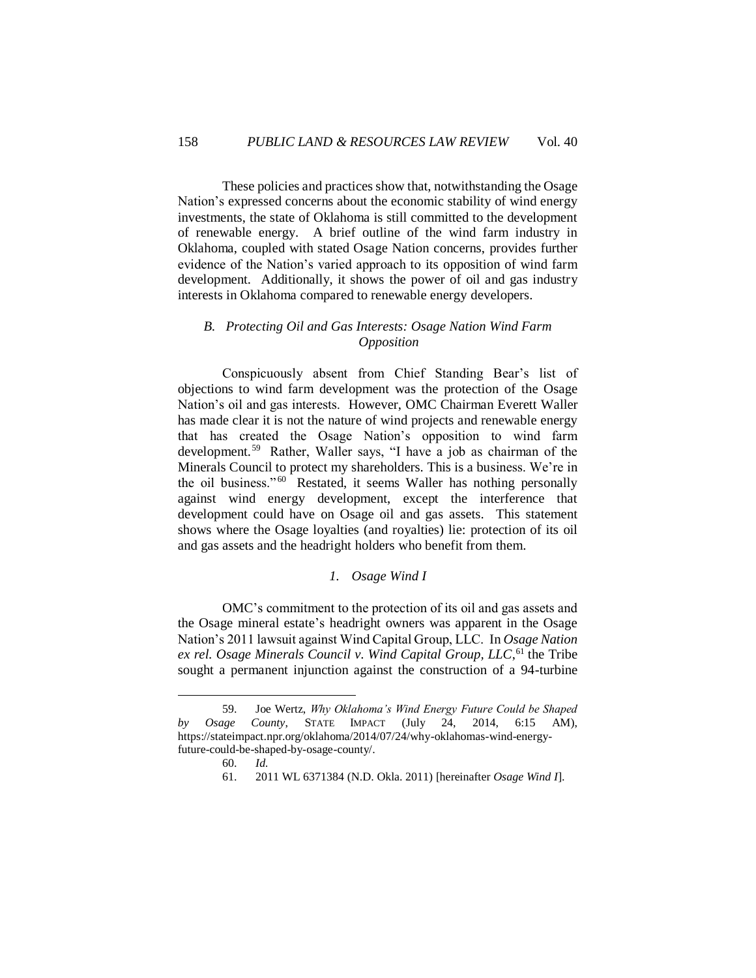These policies and practices show that, notwithstanding the Osage Nation's expressed concerns about the economic stability of wind energy investments, the state of Oklahoma is still committed to the development of renewable energy. A brief outline of the wind farm industry in Oklahoma, coupled with stated Osage Nation concerns, provides further evidence of the Nation's varied approach to its opposition of wind farm development. Additionally, it shows the power of oil and gas industry interests in Oklahoma compared to renewable energy developers.

# *B. Protecting Oil and Gas Interests: Osage Nation Wind Farm Opposition*

Conspicuously absent from Chief Standing Bear's list of objections to wind farm development was the protection of the Osage Nation's oil and gas interests. However, OMC Chairman Everett Waller has made clear it is not the nature of wind projects and renewable energy that has created the Osage Nation's opposition to wind farm development.<sup>59</sup> Rather, Waller says, "I have a job as chairman of the Minerals Council to protect my shareholders. This is a business. We're in the oil business."<sup>60</sup> Restated, it seems Waller has nothing personally against wind energy development, except the interference that development could have on Osage oil and gas assets. This statement shows where the Osage loyalties (and royalties) lie: protection of its oil and gas assets and the headright holders who benefit from them.

# *1. Osage Wind I*

OMC's commitment to the protection of its oil and gas assets and the Osage mineral estate's headright owners was apparent in the Osage Nation's 2011 lawsuit against Wind Capital Group, LLC. In *Osage Nation ex rel. Osage Minerals Council v. Wind Capital Group, LLC*, <sup>61</sup> the Tribe sought a permanent injunction against the construction of a 94-turbine

<sup>59.</sup> Joe Wertz, *Why Oklahoma's Wind Energy Future Could be Shaped by Osage County*, STATE IMPACT (July 24, 2014, 6:15 AM), [https://stateimpact.npr.org/oklahoma/2014/07/24/why-oklahomas-wind-energy](https://stateimpact.npr.org/oklahoma/2014/07/24/why-oklahomas-wind-energy-future-could-be-shaped-by-osage-county/)[future-could-be-shaped-by-osage-county/.](https://stateimpact.npr.org/oklahoma/2014/07/24/why-oklahomas-wind-energy-future-could-be-shaped-by-osage-county/)

<sup>60.</sup> *Id.*

<sup>61. 2011</sup> WL 6371384 (N.D. Okla. 2011) [hereinafter *Osage Wind I*].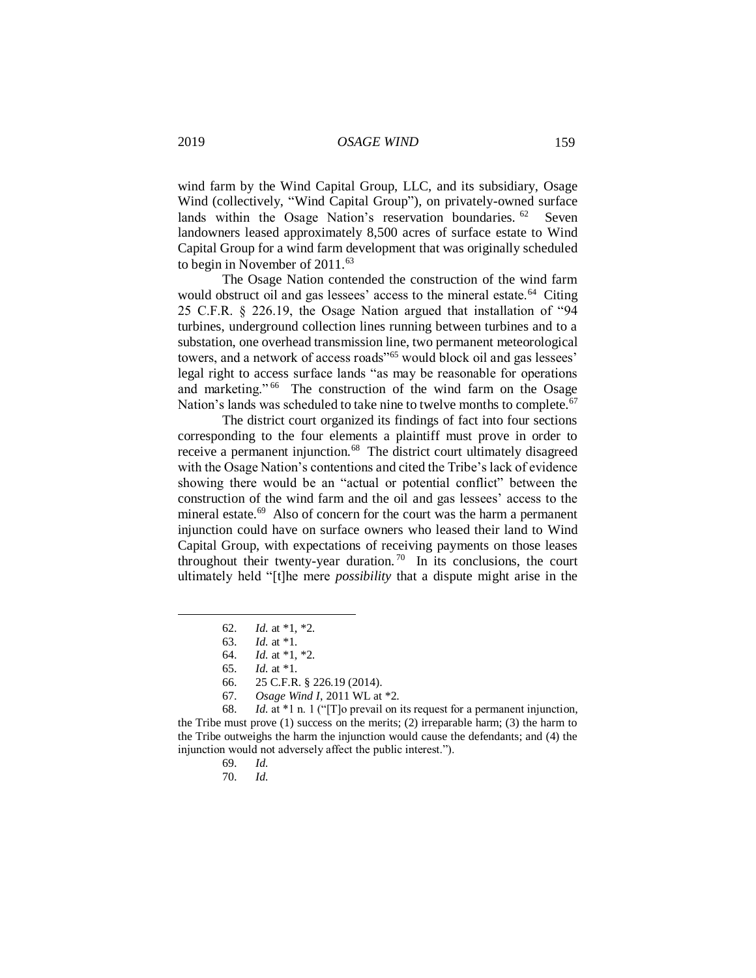wind farm by the Wind Capital Group, LLC, and its subsidiary, Osage Wind (collectively, "Wind Capital Group"), on privately-owned surface lands within the Osage Nation's reservation boundaries. <sup>62</sup> Seven landowners leased approximately 8,500 acres of surface estate to Wind Capital Group for a wind farm development that was originally scheduled to begin in November of 2011.<sup>63</sup>

The Osage Nation contended the construction of the wind farm would obstruct oil and gas lessees' access to the mineral estate.<sup>64</sup> Citing 25 C.F.R. § 226.19, the Osage Nation argued that installation of "94 turbines, underground collection lines running between turbines and to a substation, one overhead transmission line, two permanent meteorological towers, and a network of access roads"<sup>65</sup> would block oil and gas lessees' legal right to access surface lands "as may be reasonable for operations and marketing."<sup>66</sup> The construction of the wind farm on the Osage Nation's lands was scheduled to take nine to twelve months to complete.<sup>67</sup>

The district court organized its findings of fact into four sections corresponding to the four elements a plaintiff must prove in order to receive a permanent injunction.<sup>68</sup> The district court ultimately disagreed with the Osage Nation's contentions and cited the Tribe's lack of evidence showing there would be an "actual or potential conflict" between the construction of the wind farm and the oil and gas lessees' access to the mineral estate.<sup>69</sup> Also of concern for the court was the harm a permanent injunction could have on surface owners who leased their land to Wind Capital Group, with expectations of receiving payments on those leases throughout their twenty-year duration.<sup>70</sup> In its conclusions, the court ultimately held "[t]he mere *possibility* that a dispute might arise in the

- 69. *Id.*
- 70. *Id.*

<sup>62.</sup> *Id.* at \*1, \*2.

<sup>63.</sup> *Id.* at \*1.

<sup>64.</sup> *Id.* at \*1, \*2.

<sup>65.</sup> *Id.* at \*1.

<sup>66. 25</sup> C.F.R. § 226.19 (2014).

<sup>67.</sup> *Osage Wind I*, 2011 WL at \*2.

<sup>68.</sup> *Id.* at \*1 n. 1 ("[T]o prevail on its request for a permanent injunction, the Tribe must prove (1) success on the merits; (2) irreparable harm; (3) the harm to the Tribe outweighs the harm the injunction would cause the defendants; and (4) the injunction would not adversely affect the public interest.").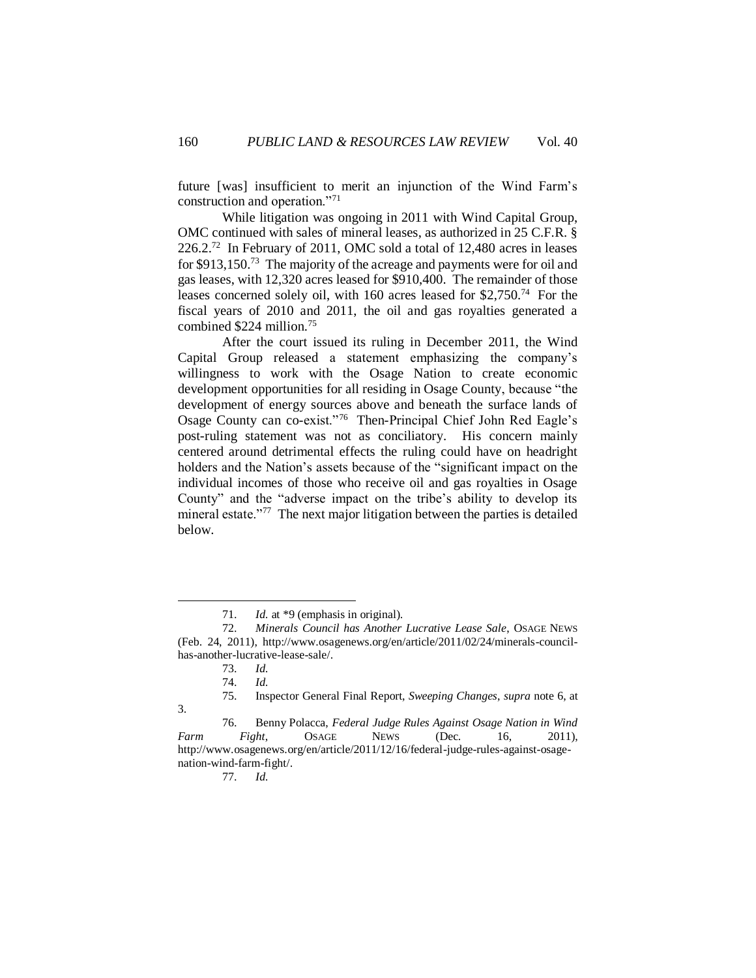future [was] insufficient to merit an injunction of the Wind Farm's construction and operation."<sup>71</sup>

While litigation was ongoing in 2011 with Wind Capital Group, OMC continued with sales of mineral leases, as authorized in 25 C.F.R. § 226.2. <sup>72</sup> In February of 2011, OMC sold a total of 12,480 acres in leases for \$913,150.<sup>73</sup> The majority of the acreage and payments were for oil and gas leases, with 12,320 acres leased for \$910,400. The remainder of those leases concerned solely oil, with 160 acres leased for \$2,750.<sup>74</sup> For the fiscal years of 2010 and 2011, the oil and gas royalties generated a combined \$224 million.<sup>75</sup>

After the court issued its ruling in December 2011, the Wind Capital Group released a statement emphasizing the company's willingness to work with the Osage Nation to create economic development opportunities for all residing in Osage County, because "the development of energy sources above and beneath the surface lands of Osage County can co-exist."<sup>76</sup> Then-Principal Chief John Red Eagle's post-ruling statement was not as conciliatory. His concern mainly centered around detrimental effects the ruling could have on headright holders and the Nation's assets because of the "significant impact on the individual incomes of those who receive oil and gas royalties in Osage County" and the "adverse impact on the tribe's ability to develop its mineral estate."<sup>77</sup> The next major litigation between the parties is detailed below.

 $\overline{a}$ 

77. *Id.*

<sup>71.</sup> *Id.* at \*9 (emphasis in original).

<sup>72.</sup> *Minerals Council has Another Lucrative Lease Sale*, OSAGE NEWS (Feb. 24, 2011), [http://www.osagenews.org/en/article/2011/02/24/minerals-council](http://www.osagenews.org/en/article/2011/02/24/minerals-council-has-another-lucrative-lease-sale/)[has-another-lucrative-lease-sale/.](http://www.osagenews.org/en/article/2011/02/24/minerals-council-has-another-lucrative-lease-sale/)

<sup>73.</sup> *Id.*

<sup>74.</sup> *Id.*

<sup>75.</sup> Inspector General Final Report, *Sweeping Changes*, *supra* note 6, at 3.

<sup>76.</sup> Benny Polacca, *Federal Judge Rules Against Osage Nation in Wind Farm Fight*, OSAGE NEWS (Dec. 16, 2011), [http://www.osagenews.org/en/article/2011/12/16/federal-judge-rules-against-osage](http://www.osagenews.org/en/article/2011/12/16/federal-judge-rules-against-osage-nation-wind-farm-fight/)[nation-wind-farm-fight/.](http://www.osagenews.org/en/article/2011/12/16/federal-judge-rules-against-osage-nation-wind-farm-fight/)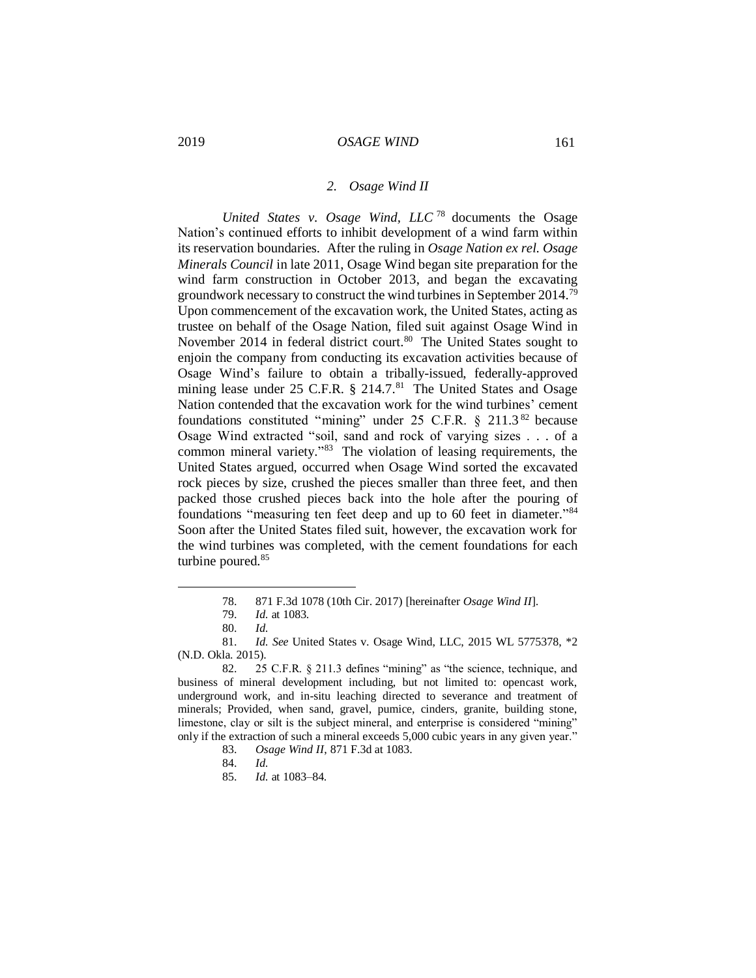#### *2. Osage Wind II*

*United States v. Osage Wind, LLC* <sup>78</sup> documents the Osage Nation's continued efforts to inhibit development of a wind farm within its reservation boundaries. After the ruling in *Osage Nation ex rel. Osage Minerals Council* in late 2011, Osage Wind began site preparation for the wind farm construction in October 2013, and began the excavating groundwork necessary to construct the wind turbines in September 2014.<sup>79</sup> Upon commencement of the excavation work, the United States, acting as trustee on behalf of the Osage Nation, filed suit against Osage Wind in November 2014 in federal district court.<sup>80</sup> The United States sought to enjoin the company from conducting its excavation activities because of Osage Wind's failure to obtain a tribally-issued, federally-approved mining lease under 25 C.F.R. § 214.7.<sup>81</sup> The United States and Osage Nation contended that the excavation work for the wind turbines' cement foundations constituted "mining" under 25 C.F.R. § 211.3 <sup>82</sup> because Osage Wind extracted "soil, sand and rock of varying sizes . . . of a common mineral variety." <sup>83</sup> The violation of leasing requirements, the United States argued, occurred when Osage Wind sorted the excavated rock pieces by size, crushed the pieces smaller than three feet, and then packed those crushed pieces back into the hole after the pouring of foundations "measuring ten feet deep and up to 60 feet in diameter." 84 Soon after the United States filed suit, however, the excavation work for the wind turbines was completed, with the cement foundations for each turbine poured.<sup>85</sup>

<sup>78. 871</sup> F.3d 1078 (10th Cir. 2017) [hereinafter *Osage Wind II*].

<sup>79.</sup> *Id.* at 1083.

<sup>80.</sup> *Id.*

<sup>81.</sup> *Id. See* United States v. Osage Wind, LLC, 2015 WL 5775378, \*2 (N.D. Okla. 2015).

<sup>82. 25</sup> C.F.R. § 211.3 defines "mining" as "the science, technique, and business of mineral development including, but not limited to: opencast work, underground work, and in-situ leaching directed to severance and treatment of minerals; Provided, when sand, gravel, pumice, cinders, granite, building stone, limestone, clay or silt is the subject mineral, and enterprise is considered "mining" only if the extraction of such a mineral exceeds 5,000 cubic years in any given year."

<sup>83.</sup> *Osage Wind II*, 871 F.3d at 1083.

<sup>84.</sup> *Id.*

<sup>85.</sup> *Id.* at 1083–84.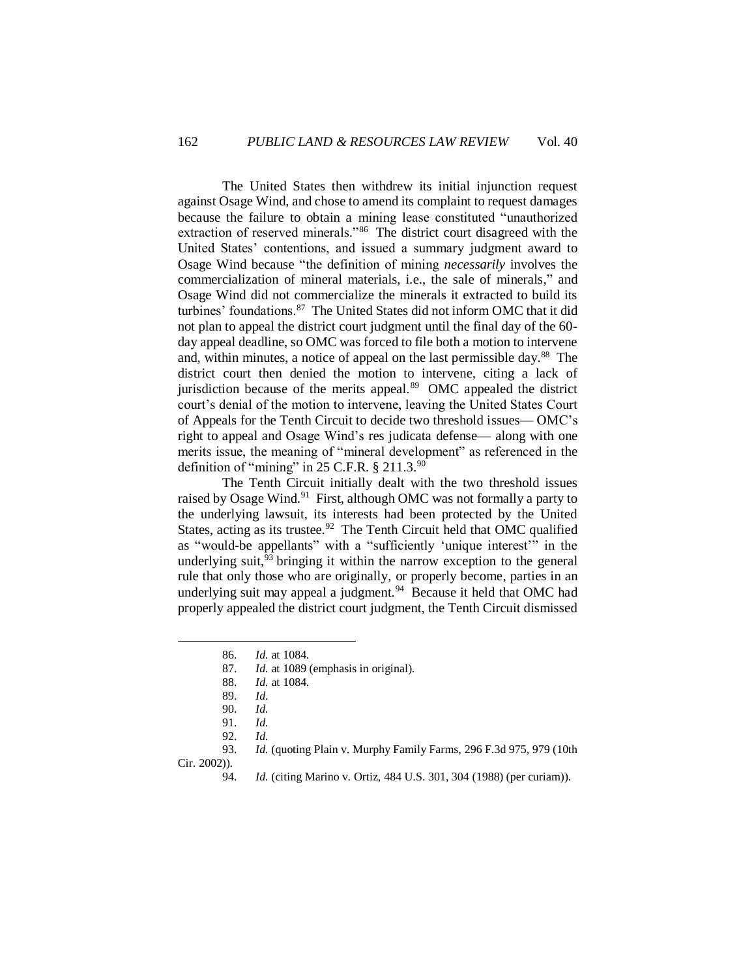The United States then withdrew its initial injunction request against Osage Wind, and chose to amend its complaint to request damages because the failure to obtain a mining lease constituted "unauthorized extraction of reserved minerals."<sup>86</sup> The district court disagreed with the United States' contentions, and issued a summary judgment award to Osage Wind because "the definition of mining *necessarily* involves the commercialization of mineral materials, i.e., the sale of minerals," and Osage Wind did not commercialize the minerals it extracted to build its turbines' foundations.<sup>87</sup> The United States did not inform OMC that it did not plan to appeal the district court judgment until the final day of the 60 day appeal deadline, so OMC was forced to file both a motion to intervene and, within minutes, a notice of appeal on the last permissible day.<sup>88</sup> The district court then denied the motion to intervene, citing a lack of jurisdiction because of the merits appeal.<sup>89</sup> OMC appealed the district court's denial of the motion to intervene, leaving the United States Court of Appeals for the Tenth Circuit to decide two threshold issues— OMC's right to appeal and Osage Wind's res judicata defense— along with one merits issue, the meaning of "mineral development" as referenced in the definition of "mining" in 25 C.F.R. § 211.3.<sup>90</sup>

The Tenth Circuit initially dealt with the two threshold issues raised by Osage Wind.<sup>91</sup> First, although OMC was not formally a party to the underlying lawsuit, its interests had been protected by the United States, acting as its trustee. $92$  The Tenth Circuit held that OMC qualified as "would-be appellants" with a "sufficiently 'unique interest'" in the underlying suit, $93$  bringing it within the narrow exception to the general rule that only those who are originally, or properly become, parties in an underlying suit may appeal a judgment. $94$  Because it held that OMC had properly appealed the district court judgment, the Tenth Circuit dismissed

87. *Id.* at 1089 (emphasis in original).

Cir. 2002)).

<sup>86.</sup> *Id.* at 1084.

<sup>88.</sup> *Id.* at 1084.

<sup>89.</sup> *Id.*

<sup>90.</sup> *Id.*

<sup>91.</sup> *Id.*

<sup>92.</sup> *Id.*

<sup>93.</sup> *Id.* (quoting Plain v. Murphy Family Farms, 296 F.3d 975, 979 (10th

<sup>94.</sup> *Id.* (citing Marino v. Ortiz, 484 U.S. 301, 304 (1988) (per curiam)).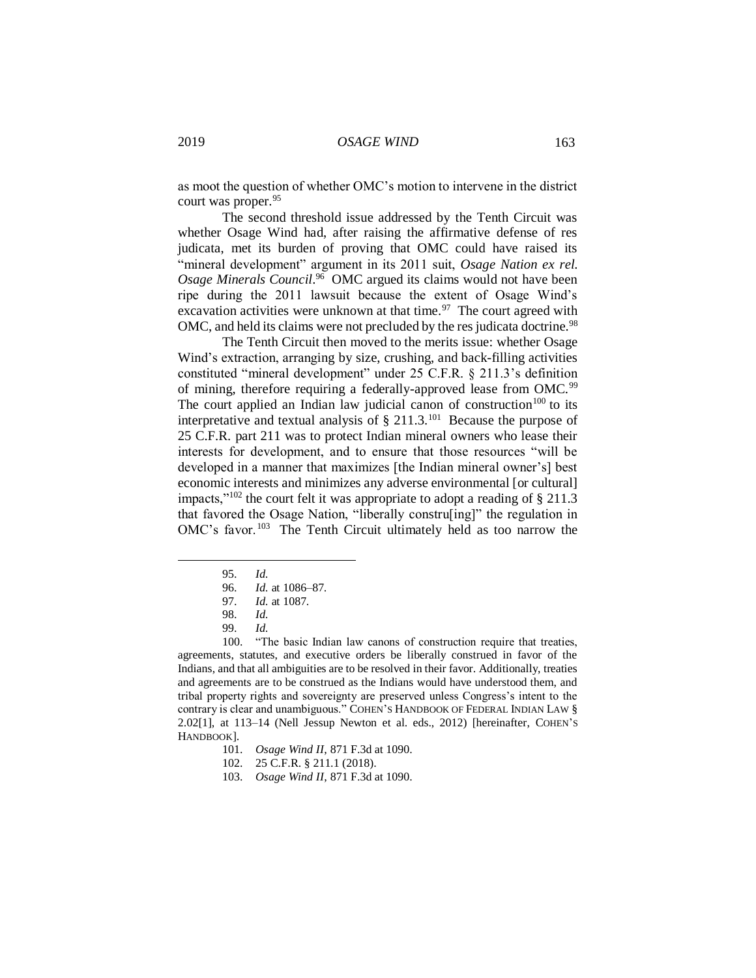as moot the question of whether OMC's motion to intervene in the district court was proper.<sup>95</sup>

The second threshold issue addressed by the Tenth Circuit was whether Osage Wind had, after raising the affirmative defense of res judicata, met its burden of proving that OMC could have raised its "mineral development" argument in its 2011 suit, *Osage Nation ex rel.* Osage Minerals Council.<sup>96</sup> OMC argued its claims would not have been ripe during the 2011 lawsuit because the extent of Osage Wind's excavation activities were unknown at that time. $97$  The court agreed with OMC, and held its claims were not precluded by the res judicata doctrine.<sup>98</sup>

The Tenth Circuit then moved to the merits issue: whether Osage Wind's extraction, arranging by size, crushing, and back-filling activities constituted "mineral development" under 25 C.F.R. § 211.3's definition of mining, therefore requiring a federally-approved lease from OMC.<sup>99</sup> The court applied an Indian law judicial canon of construction<sup>100</sup> to its interpretative and textual analysis of  $\S$  211.3.<sup>101</sup> Because the purpose of 25 C.F.R. part 211 was to protect Indian mineral owners who lease their interests for development, and to ensure that those resources "will be developed in a manner that maximizes [the Indian mineral owner's] best economic interests and minimizes any adverse environmental [or cultural] impacts," $102$  the court felt it was appropriate to adopt a reading of § 211.3 that favored the Osage Nation, "liberally constru[ing]" the regulation in OMC's favor.<sup>103</sup> The Tenth Circuit ultimately held as too narrow the

 $\overline{a}$ 

100. "The basic Indian law canons of construction require that treaties, agreements, statutes, and executive orders be liberally construed in favor of the Indians, and that all ambiguities are to be resolved in their favor. Additionally, treaties and agreements are to be construed as the Indians would have understood them, and tribal property rights and sovereignty are preserved unless Congress's intent to the contrary is clear and unambiguous." COHEN'S HANDBOOK OF FEDERAL INDIAN LAW § 2.02[1], at 113–14 (Nell Jessup Newton et al. eds., 2012) [hereinafter, COHEN'S HANDBOOK].

<sup>95.</sup> *Id.*

<sup>96.</sup> *Id.* at 1086–87.

<sup>97.</sup> *Id.* at 1087.

<sup>98.</sup> *Id.*

<sup>99.</sup> *Id.*

<sup>101.</sup> *Osage Wind II*, 871 F.3d at 1090.

<sup>102. 25</sup> C.F.R. § 211.1 (2018).

<sup>103.</sup> *Osage Wind II*, 871 F.3d at 1090.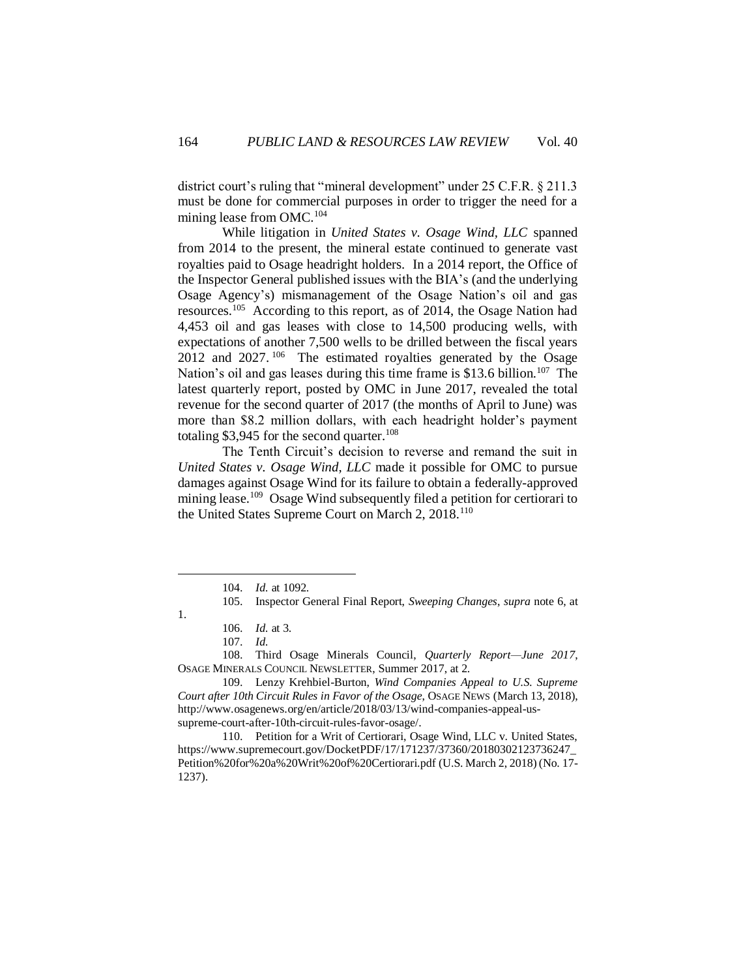district court's ruling that "mineral development" under 25 C.F.R. § 211.3 must be done for commercial purposes in order to trigger the need for a mining lease from OMC.<sup>104</sup>

While litigation in *United States v. Osage Wind, LLC* spanned from 2014 to the present, the mineral estate continued to generate vast royalties paid to Osage headright holders. In a 2014 report, the Office of the Inspector General published issues with the BIA's (and the underlying Osage Agency's) mismanagement of the Osage Nation's oil and gas resources.<sup>105</sup> According to this report, as of 2014, the Osage Nation had 4,453 oil and gas leases with close to 14,500 producing wells, with expectations of another 7,500 wells to be drilled between the fiscal years  $2012$  and  $2027$ . <sup>106</sup> The estimated royalties generated by the Osage Nation's oil and gas leases during this time frame is \$13.6 billion.<sup>107</sup> The latest quarterly report, posted by OMC in June 2017, revealed the total revenue for the second quarter of 2017 (the months of April to June) was more than \$8.2 million dollars, with each headright holder's payment totaling \$3,945 for the second quarter.<sup>108</sup>

The Tenth Circuit's decision to reverse and remand the suit in *United States v. Osage Wind, LLC* made it possible for OMC to pursue damages against Osage Wind for its failure to obtain a federally-approved mining lease.<sup>109</sup> Osage Wind subsequently filed a petition for certiorari to the United States Supreme Court on March 2, 2018.<sup>110</sup>

<sup>104.</sup> *Id.* at 1092.

<sup>105.</sup> Inspector General Final Report, *Sweeping Changes*, *supra* note 6, at

<sup>1.</sup>

<sup>106.</sup> *Id.* at 3.

<sup>107.</sup> *Id.*

<sup>108.</sup> Third Osage Minerals Council, *Quarterly Report—June 2017*, OSAGE MINERALS COUNCIL NEWSLETTER, Summer 2017, at 2.

<sup>109.</sup> Lenzy Krehbiel-Burton, *Wind Companies Appeal to U.S. Supreme Court after 10th Circuit Rules in Favor of the Osage*, OSAGE NEWS (March 13, 2018), [http://www.osagenews.org/en/article/2018/03/13/wind-companies-appeal-us](http://www.osagenews.org/en/article/2018/03/13/wind-companies-appeal-us-supreme-court-after-10th-circuit-rules-favor-osage/)[supreme-court-after-10th-circuit-rules-favor-osage/.](http://www.osagenews.org/en/article/2018/03/13/wind-companies-appeal-us-supreme-court-after-10th-circuit-rules-favor-osage/)

<sup>110.</sup> Petition for a Writ of Certiorari, Osage Wind, LLC v. United States, [https://www.supremecourt.gov/DocketPDF/17/171237/37360/20180302123736247\\_](https://www.supremecourt.gov/DocketPDF/17/171237/37360/20180302123736247_Petition%20for%20a%20Writ%20of%20Certiorari.pdf) [Petition%20for%20a%20Writ%20of%20Certiorari.pdf](https://www.supremecourt.gov/DocketPDF/17/171237/37360/20180302123736247_Petition%20for%20a%20Writ%20of%20Certiorari.pdf) (U.S. March 2, 2018) (No. 17- 1237).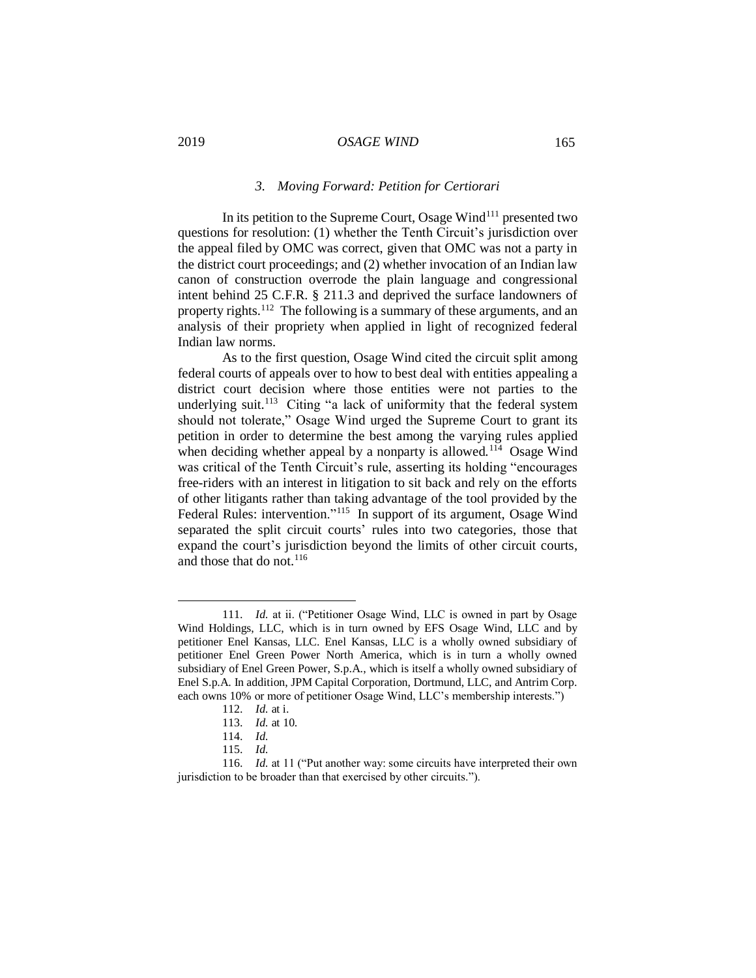#### *3. Moving Forward: Petition for Certiorari*

In its petition to the Supreme Court, Osage Wind<sup>111</sup> presented two questions for resolution: (1) whether the Tenth Circuit's jurisdiction over the appeal filed by OMC was correct, given that OMC was not a party in the district court proceedings; and (2) whether invocation of an Indian law canon of construction overrode the plain language and congressional intent behind 25 C.F.R. § 211.3 and deprived the surface landowners of property rights.<sup>112</sup> The following is a summary of these arguments, and an analysis of their propriety when applied in light of recognized federal Indian law norms.

As to the first question, Osage Wind cited the circuit split among federal courts of appeals over to how to best deal with entities appealing a district court decision where those entities were not parties to the underlying suit.<sup>113</sup> Citing "a lack of uniformity that the federal system should not tolerate," Osage Wind urged the Supreme Court to grant its petition in order to determine the best among the varying rules applied when deciding whether appeal by a nonparty is allowed.<sup>114</sup> Osage Wind was critical of the Tenth Circuit's rule, asserting its holding "encourages free-riders with an interest in litigation to sit back and rely on the efforts of other litigants rather than taking advantage of the tool provided by the Federal Rules: intervention."<sup>115</sup> In support of its argument, Osage Wind separated the split circuit courts' rules into two categories, those that expand the court's jurisdiction beyond the limits of other circuit courts, and those that do not. 116

<sup>111.</sup> *Id.* at ii. ("Petitioner Osage Wind, LLC is owned in part by Osage Wind Holdings, LLC, which is in turn owned by EFS Osage Wind, LLC and by petitioner Enel Kansas, LLC. Enel Kansas, LLC is a wholly owned subsidiary of petitioner Enel Green Power North America, which is in turn a wholly owned subsidiary of Enel Green Power, S.p.A., which is itself a wholly owned subsidiary of Enel S.p.A. In addition, JPM Capital Corporation, Dortmund, LLC, and Antrim Corp. each owns 10% or more of petitioner Osage Wind, LLC's membership interests.")

<sup>112.</sup> *Id.* at i.

<sup>113.</sup> *Id.* at 10.

<sup>114.</sup> *Id.*

<sup>115.</sup> *Id.*

<sup>116.</sup> *Id.* at 11 ("Put another way: some circuits have interpreted their own jurisdiction to be broader than that exercised by other circuits.").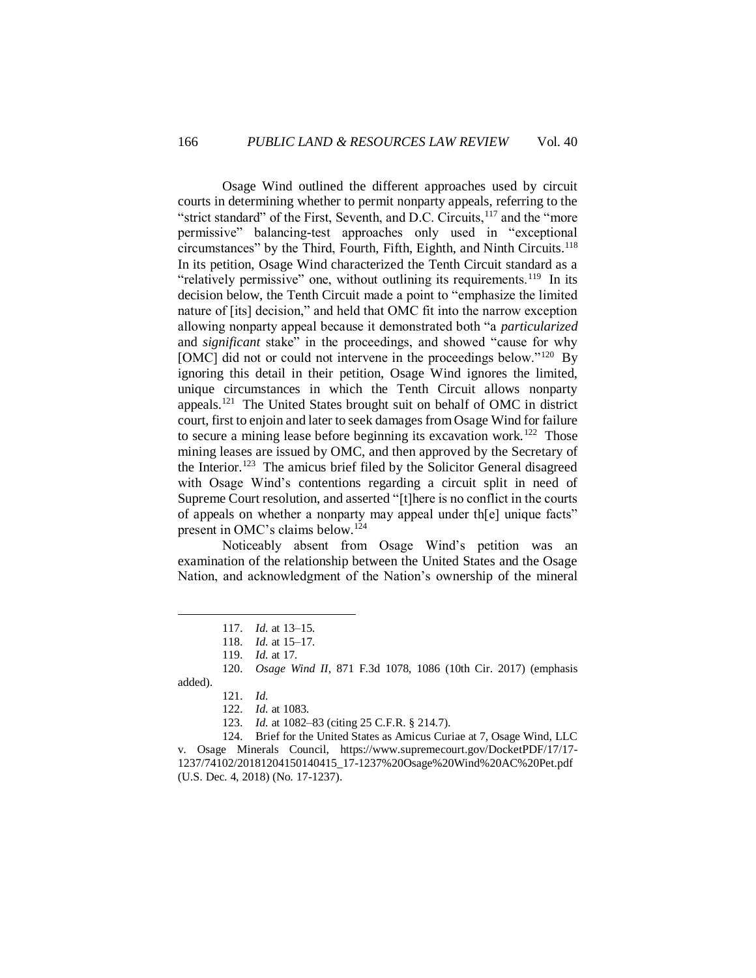Osage Wind outlined the different approaches used by circuit courts in determining whether to permit nonparty appeals, referring to the "strict standard" of the First, Seventh, and D.C. Circuits,<sup>117</sup> and the "more" permissive" balancing-test approaches only used in "exceptional circumstances" by the Third, Fourth, Fifth, Eighth, and Ninth Circuits.<sup>118</sup> In its petition, Osage Wind characterized the Tenth Circuit standard as a "relatively permissive" one, without outlining its requirements.<sup>119</sup> In its decision below, the Tenth Circuit made a point to "emphasize the limited nature of [its] decision," and held that OMC fit into the narrow exception allowing nonparty appeal because it demonstrated both "a *particularized* and *significant* stake" in the proceedings, and showed "cause for why [OMC] did not or could not intervene in the proceedings below."<sup>120</sup> By ignoring this detail in their petition, Osage Wind ignores the limited, unique circumstances in which the Tenth Circuit allows nonparty appeals.<sup>121</sup> The United States brought suit on behalf of OMC in district court, first to enjoin and later to seek damages from Osage Wind for failure to secure a mining lease before beginning its excavation work.<sup>122</sup> Those mining leases are issued by OMC, and then approved by the Secretary of the Interior.<sup>123</sup> The amicus brief filed by the Solicitor General disagreed with Osage Wind's contentions regarding a circuit split in need of Supreme Court resolution, and asserted "[t]here is no conflict in the courts of appeals on whether a nonparty may appeal under th[e] unique facts" present in OMC's claims below.<sup>124</sup>

Noticeably absent from Osage Wind's petition was an examination of the relationship between the United States and the Osage Nation, and acknowledgment of the Nation's ownership of the mineral

 $\overline{a}$ 

124. Brief for the United States as Amicus Curiae at 7, Osage Wind, LLC v. Osage Minerals Council, [https://www.supremecourt.gov/DocketPDF/17/17-](https://www.supremecourt.gov/DocketPDF/17/17-1237/74102/20181204150140415_17-1237%20Osage%20Wind%20AC%20Pet.pdf) [1237/74102/20181204150140415\\_17-1237%20Osage%20Wind%20AC%20Pet.pdf](https://www.supremecourt.gov/DocketPDF/17/17-1237/74102/20181204150140415_17-1237%20Osage%20Wind%20AC%20Pet.pdf) (U.S. Dec. 4, 2018) (No. 17-1237).

<sup>117.</sup> *Id.* at 13–15.

<sup>118.</sup> *Id.* at 15–17.

<sup>119.</sup> *Id.* at 17.

<sup>120.</sup> *Osage Wind II*, 871 F.3d 1078, 1086 (10th Cir. 2017) (emphasis added).

<sup>121.</sup> *Id.*

<sup>122.</sup> *Id.* at 1083.

<sup>123.</sup> *Id.* at 1082–83 (citing 25 C.F.R. § 214.7).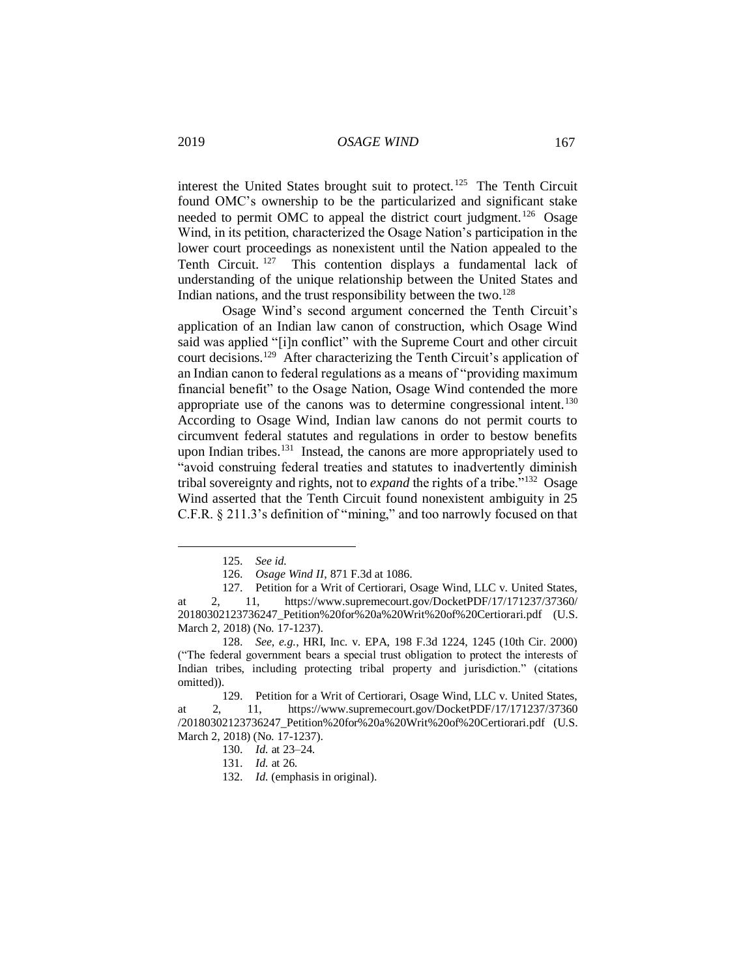interest the United States brought suit to protect.<sup>125</sup> The Tenth Circuit found OMC's ownership to be the particularized and significant stake needed to permit OMC to appeal the district court judgment.<sup>126</sup> Osage Wind, in its petition, characterized the Osage Nation's participation in the lower court proceedings as nonexistent until the Nation appealed to the Tenth Circuit. <sup>127</sup> This contention displays a fundamental lack of understanding of the unique relationship between the United States and Indian nations, and the trust responsibility between the two.<sup>128</sup>

Osage Wind's second argument concerned the Tenth Circuit's application of an Indian law canon of construction, which Osage Wind said was applied "[i]n conflict" with the Supreme Court and other circuit court decisions. <sup>129</sup> After characterizing the Tenth Circuit's application of an Indian canon to federal regulations as a means of "providing maximum financial benefit" to the Osage Nation, Osage Wind contended the more appropriate use of the canons was to determine congressional intent.<sup>130</sup> According to Osage Wind, Indian law canons do not permit courts to circumvent federal statutes and regulations in order to bestow benefits upon Indian tribes.<sup>131</sup> Instead, the canons are more appropriately used to "avoid construing federal treaties and statutes to inadvertently diminish tribal sovereignty and rights, not to *expand* the rights of a tribe."<sup>132</sup> Osage Wind asserted that the Tenth Circuit found nonexistent ambiguity in 25 C.F.R. § 211.3's definition of "mining," and too narrowly focused on that

<sup>125.</sup> *See id.*

<sup>126.</sup> *Osage Wind II*, 871 F.3d at 1086.

<sup>127.</sup> Petition for a Writ of Certiorari, Osage Wind, LLC v. United States, at 2, 11, [https://www.supremecourt.gov/DocketPDF/17/171237/37360/](https://www.supremecourt.gov/DocketPDF/17/171237/37360/20180302123736247_Petition%20for%20a%20Writ%20of%20Certiorari.pdf) [20180302123736247\\_Petition%20for%20a%20Writ%20of%20Certiorari.pdf](https://www.supremecourt.gov/DocketPDF/17/171237/37360/20180302123736247_Petition%20for%20a%20Writ%20of%20Certiorari.pdf) (U.S. March 2, 2018) (No. 17-1237).

<sup>128.</sup> *See*, *e.g.*, HRI, Inc. v. EPA, 198 F.3d 1224, 1245 (10th Cir. 2000) ("The federal government bears a special trust obligation to protect the interests of Indian tribes, including protecting tribal property and jurisdiction." (citations omitted)).

<sup>129.</sup> Petition for a Writ of Certiorari, Osage Wind, LLC v. United States, at 2, 11, [https://www.supremecourt.gov/DocketPDF/17/171237/37360](https://www.supremecourt.gov/DocketPDF/17/171237/37360/20180302123736247_Petition%20for%20a%20Writ%20of%20Certiorari.pdf) [/20180302123736247\\_Petition%20for%20a%20Writ%20of%20Certiorari.pdf](https://www.supremecourt.gov/DocketPDF/17/171237/37360/20180302123736247_Petition%20for%20a%20Writ%20of%20Certiorari.pdf) (U.S. March 2, 2018) (No. 17-1237).

<sup>130.</sup> *Id.* at 23–24.

<sup>131.</sup> *Id.* at 26.

<sup>132.</sup> *Id.* (emphasis in original).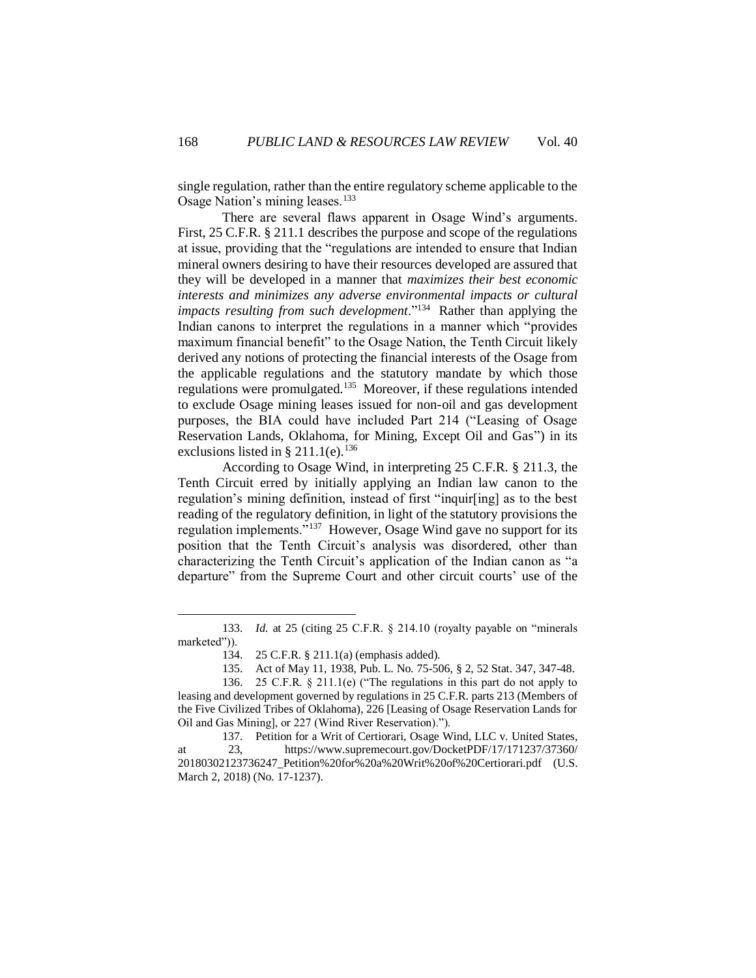single regulation, rather than the entire regulatory scheme applicable to the Osage Nation's mining leases.<sup>133</sup>

There are several flaws apparent in Osage Wind's arguments. First, 25 C.F.R. § 211.1 describes the purpose and scope of the regulations at issue, providing that the "regulations are intended to ensure that Indian mineral owners desiring to have their resources developed are assured that they will be developed in a manner that *maximizes their best economic interests and minimizes any adverse environmental impacts or cultural impacts resulting from such development*."<sup>134</sup> Rather than applying the Indian canons to interpret the regulations in a manner which "provides maximum financial benefit" to the Osage Nation, the Tenth Circuit likely derived any notions of protecting the financial interests of the Osage from the applicable regulations and the statutory mandate by which those regulations were promulgated.<sup>135</sup> Moreover, if these regulations intended to exclude Osage mining leases issued for non-oil and gas development purposes, the BIA could have included Part 214 ("Leasing of Osage Reservation Lands, Oklahoma, for Mining, Except Oil and Gas") in its exclusions listed in § 211.1(e).<sup>136</sup>

According to Osage Wind, in interpreting 25 C.F.R. § 211.3, the Tenth Circuit erred by initially applying an Indian law canon to the regulation's mining definition, instead of first "inquir[ing] as to the best reading of the regulatory definition, in light of the statutory provisions the regulation implements."<sup>137</sup> However, Osage Wind gave no support for its position that the Tenth Circuit's analysis was disordered, other than characterizing the Tenth Circuit's application of the Indian canon as "a departure" from the Supreme Court and other circuit courts' use of the

<sup>133.</sup> *Id.* at 25 (citing 25 C.F.R. § 214.10 (royalty payable on "minerals marketed")).

<sup>134. 25</sup> C.F.R. § 211.1(a) (emphasis added).

<sup>135.</sup> Act of May 11, 1938, Pub. L. No. 75-506, § 2, 52 Stat. 347, 347-48.

<sup>136. 25</sup> C.F.R. § 211.1(e) ("The regulations in this part do not apply to leasing and development governed by regulations in 25 C.F.R. parts 213 (Members of the Five Civilized Tribes of Oklahoma), 226 [Leasing of Osage Reservation Lands for Oil and Gas Mining], or 227 (Wind River Reservation).").

<sup>137.</sup> Petition for a Writ of Certiorari, Osage Wind, LLC v. United States, at 23, [https://www.supremecourt.gov/DocketPDF/17/171237/37360/](https://www.supremecourt.gov/DocketPDF/17/171237/37360/20180302123736247_Petition%20for%20a%20Writ%20of%20Certiorari.pdf) [20180302123736247\\_Petition%20for%20a%20Writ%20of%20Certiorari.pdf](https://www.supremecourt.gov/DocketPDF/17/171237/37360/20180302123736247_Petition%20for%20a%20Writ%20of%20Certiorari.pdf) (U.S. March 2, 2018) (No. 17-1237).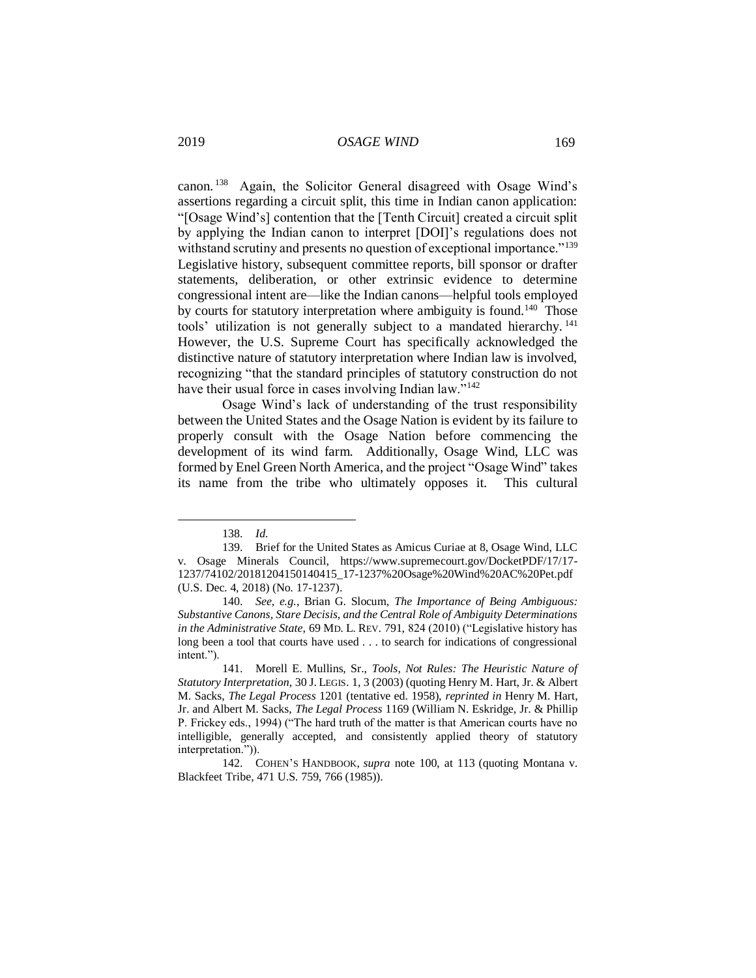canon. <sup>138</sup> Again, the Solicitor General disagreed with Osage Wind's assertions regarding a circuit split, this time in Indian canon application: "[Osage Wind's] contention that the [Tenth Circuit] created a circuit split by applying the Indian canon to interpret [DOI]'s regulations does not withstand scrutiny and presents no question of exceptional importance.<sup>"139</sup> Legislative history, subsequent committee reports, bill sponsor or drafter statements, deliberation, or other extrinsic evidence to determine congressional intent are—like the Indian canons—helpful tools employed by courts for statutory interpretation where ambiguity is found.<sup>140</sup> Those tools' utilization is not generally subject to a mandated hierarchy.<sup>141</sup> However, the U.S. Supreme Court has specifically acknowledged the distinctive nature of statutory interpretation where Indian law is involved, recognizing "that the standard principles of statutory construction do not have their usual force in cases involving Indian law."<sup>142</sup>

Osage Wind's lack of understanding of the trust responsibility between the United States and the Osage Nation is evident by its failure to properly consult with the Osage Nation before commencing the development of its wind farm. Additionally, Osage Wind, LLC was formed by Enel Green North America, and the project "Osage Wind" takes its name from the tribe who ultimately opposes it. This cultural

<sup>138.</sup> *Id.*

<sup>139.</sup> Brief for the United States as Amicus Curiae at 8, Osage Wind, LLC v. Osage Minerals Council, [https://www.supremecourt.gov/DocketPDF/17/17-](https://www.supremecourt.gov/DocketPDF/17/17-1237/74102/20181204150140415_17-1237%20Osage%20Wind%20AC%20Pet.pdf) [1237/74102/20181204150140415\\_17-1237%20Osage%20Wind%20AC%20Pet.pdf](https://www.supremecourt.gov/DocketPDF/17/17-1237/74102/20181204150140415_17-1237%20Osage%20Wind%20AC%20Pet.pdf) (U.S. Dec. 4, 2018) (No. 17-1237).

<sup>140.</sup> *See, e.g.*, Brian G. Slocum, *The Importance of Being Ambiguous: Substantive Canons, Stare Decisis, and the Central Role of Ambiguity Determinations in the Administrative State*, 69 MD. L. REV. 791, 824 (2010) ("Legislative history has long been a tool that courts have used . . . to search for indications of congressional intent.").

<sup>141.</sup> Morell E. Mullins, Sr., *Tools, Not Rules: The Heuristic Nature of Statutory Interpretation*, 30 J. LEGIS. 1, 3 (2003) (quoting Henry M. Hart, Jr. & Albert M. Sacks, *The Legal Process* 1201 (tentative ed. 1958), *reprinted in* Henry M. Hart, Jr. and Albert M. Sacks, *The Legal Process* 1169 (William N. Eskridge, Jr. & Phillip P. Frickey eds., 1994) ("The hard truth of the matter is that American courts have no intelligible, generally accepted, and consistently applied theory of statutory interpretation.")).

<sup>142.</sup> COHEN'S HANDBOOK, *supra* note 100, at 113 (quoting Montana v. Blackfeet Tribe, 471 U.S. 759, 766 (1985)).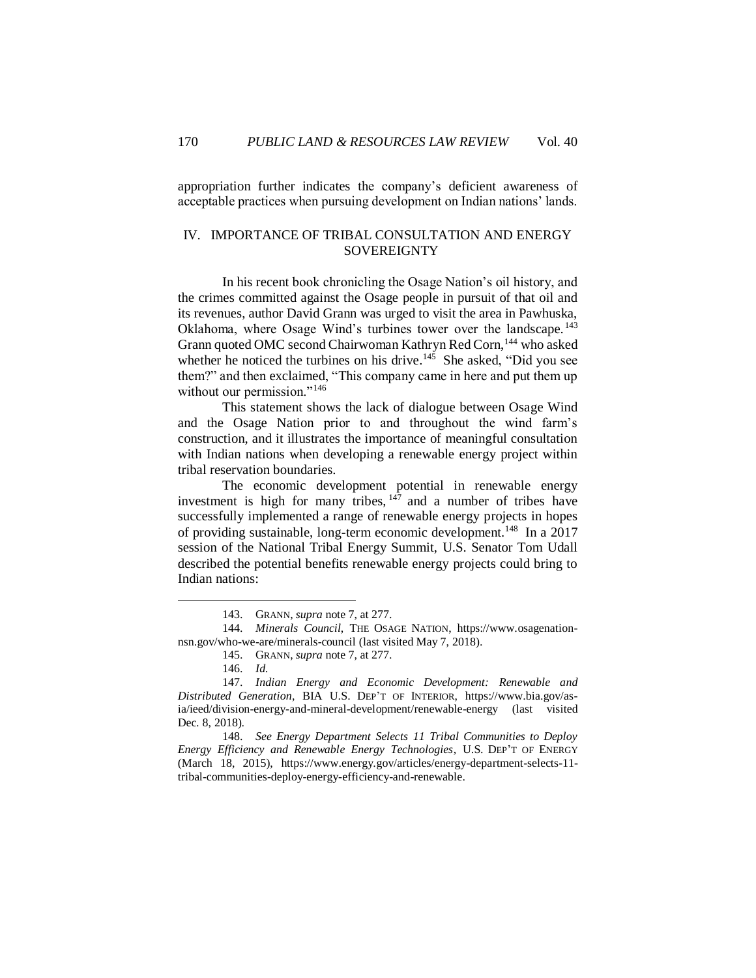appropriation further indicates the company's deficient awareness of acceptable practices when pursuing development on Indian nations' lands.

# IV. IMPORTANCE OF TRIBAL CONSULTATION AND ENERGY **SOVEREIGNTY**

In his recent book chronicling the Osage Nation's oil history, and the crimes committed against the Osage people in pursuit of that oil and its revenues, author David Grann was urged to visit the area in Pawhuska, Oklahoma, where Osage Wind's turbines tower over the landscape. <sup>143</sup> Grann quoted OMC second Chairwoman Kathryn Red Corn, <sup>144</sup> who asked whether he noticed the turbines on his drive.<sup>145</sup> She asked, "Did you see them?" and then exclaimed, "This company came in here and put them up without our permission."<sup>146</sup>

This statement shows the lack of dialogue between Osage Wind and the Osage Nation prior to and throughout the wind farm's construction, and it illustrates the importance of meaningful consultation with Indian nations when developing a renewable energy project within tribal reservation boundaries.

The economic development potential in renewable energy investment is high for many tribes,  $147$  and a number of tribes have successfully implemented a range of renewable energy projects in hopes of providing sustainable, long-term economic development.<sup>148</sup> In a 2017 session of the National Tribal Energy Summit, U.S. Senator Tom Udall described the potential benefits renewable energy projects could bring to Indian nations:

 $\overline{a}$ 

148. *See Energy Department Selects 11 Tribal Communities to Deploy Energy Efficiency and Renewable Energy Technologies*, U.S. DEP'T OF ENERGY (March 18, 2015), [https://www.energy.gov/articles/energy-department-selects-11](https://www.energy.gov/articles/energy-department-selects-11-tribal-communities-deploy-energy-efficiency-and-renewable) [tribal-communities-deploy-energy-efficiency-and-renewable.](https://www.energy.gov/articles/energy-department-selects-11-tribal-communities-deploy-energy-efficiency-and-renewable)

<sup>143.</sup> GRANN, *supra* note 7, at 277.

<sup>144.</sup> *Minerals Council*, THE OSAGE NATION, [https://www.osagenation](https://www.osagenation-nsn.gov/who-we-are/minerals-council)[nsn.gov/who-we-are/minerals-council](https://www.osagenation-nsn.gov/who-we-are/minerals-council) (last visited May 7, 2018).

<sup>145.</sup> GRANN, *supra* note 7, at 277.

<sup>146.</sup> *Id.*

<sup>147.</sup> *Indian Energy and Economic Development: Renewable and Distributed Generation*, BIA U.S. DEP'T OF INTERIOR, [https://www.bia.gov/as](https://www.bia.gov/as-ia/ieed/division-energy-and-mineral-development/renewable-energy)[ia/ieed/division-energy-and-mineral-development/renewable-energy](https://www.bia.gov/as-ia/ieed/division-energy-and-mineral-development/renewable-energy) (last visited Dec. 8, 2018).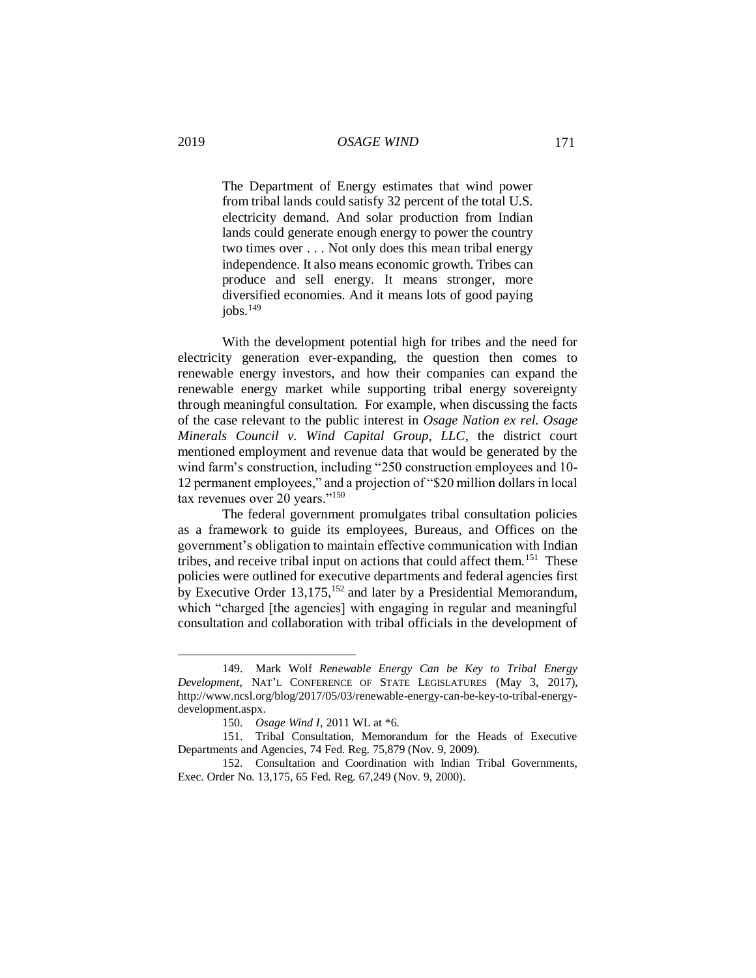The Department of Energy estimates that wind power from tribal lands could satisfy 32 percent of the total U.S. electricity demand. And solar production from Indian lands could generate enough energy to power the country two times over . . . Not only does this mean tribal energy independence. It also means economic growth. Tribes can produce and sell energy. It means stronger, more diversified economies. And it means lots of good paying  $i$ obs.<sup>149</sup>

With the development potential high for tribes and the need for electricity generation ever-expanding, the question then comes to renewable energy investors, and how their companies can expand the renewable energy market while supporting tribal energy sovereignty through meaningful consultation. For example, when discussing the facts of the case relevant to the public interest in *Osage Nation ex rel. Osage Minerals Council v. Wind Capital Group, LLC*, the district court mentioned employment and revenue data that would be generated by the wind farm's construction, including "250 construction employees and 10- 12 permanent employees," and a projection of "\$20 million dollars in local tax revenues over 20 years."<sup>150</sup>

The federal government promulgates tribal consultation policies as a framework to guide its employees, Bureaus, and Offices on the government's obligation to maintain effective communication with Indian tribes, and receive tribal input on actions that could affect them.<sup>151</sup> These policies were outlined for executive departments and federal agencies first by Executive Order 13,175,<sup>152</sup> and later by a Presidential Memorandum, which "charged [the agencies] with engaging in regular and meaningful consultation and collaboration with tribal officials in the development of

<sup>149.</sup> Mark Wolf *Renewable Energy Can be Key to Tribal Energy Development*, NAT'L CONFERENCE OF STATE LEGISLATURES (May 3, 2017), [http://www.ncsl.org/blog/2017/05/03/renewable-energy-can-be-key-to-tribal-energy](http://www.ncsl.org/blog/2017/05/03/renewable-energy-can-be-key-to-tribal-energy-development.aspx)[development.aspx.](http://www.ncsl.org/blog/2017/05/03/renewable-energy-can-be-key-to-tribal-energy-development.aspx)

<sup>150.</sup> *Osage Wind I*, 2011 WL at \*6.

<sup>151.</sup> Tribal Consultation, Memorandum for the Heads of Executive Departments and Agencies, 74 Fed. Reg. 75,879 (Nov. 9, 2009).

<sup>152.</sup> Consultation and Coordination with Indian Tribal Governments, Exec. Order No. 13,175, 65 Fed. Reg. 67,249 (Nov. 9, 2000).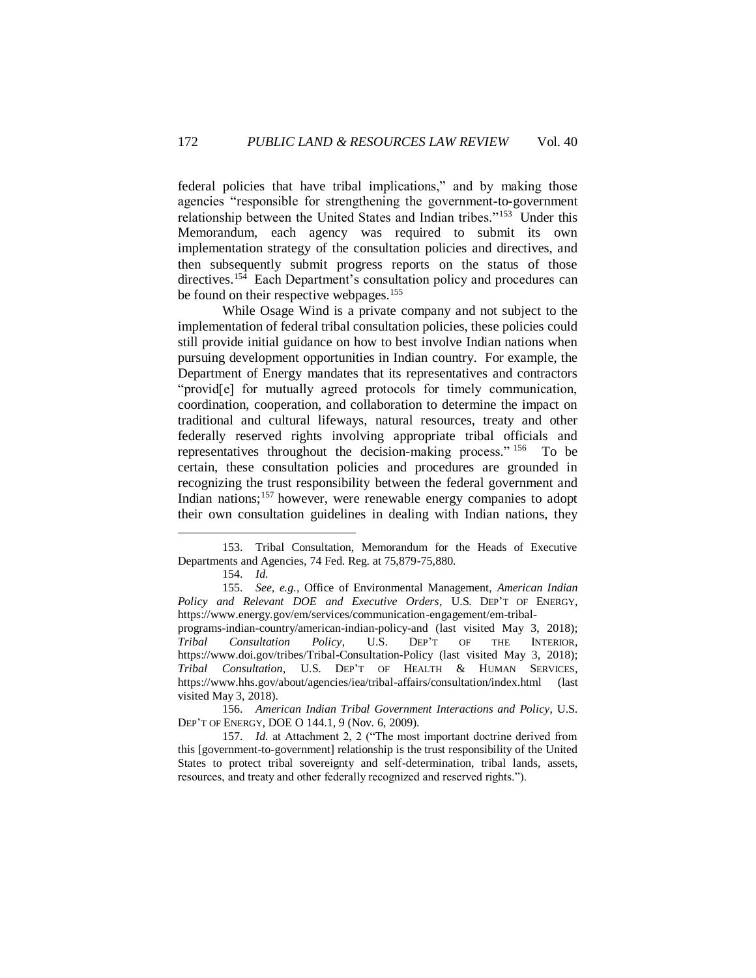federal policies that have tribal implications," and by making those agencies "responsible for strengthening the government-to-government relationship between the United States and Indian tribes."<sup>153</sup> Under this Memorandum, each agency was required to submit its own implementation strategy of the consultation policies and directives, and then subsequently submit progress reports on the status of those directives.<sup>154</sup> Each Department's consultation policy and procedures can be found on their respective webpages.<sup>155</sup>

While Osage Wind is a private company and not subject to the implementation of federal tribal consultation policies, these policies could still provide initial guidance on how to best involve Indian nations when pursuing development opportunities in Indian country. For example, the Department of Energy mandates that its representatives and contractors "provid[e] for mutually agreed protocols for timely communication, coordination, cooperation, and collaboration to determine the impact on traditional and cultural lifeways, natural resources, treaty and other federally reserved rights involving appropriate tribal officials and representatives throughout the decision-making process." <sup>156</sup> To be certain, these consultation policies and procedures are grounded in recognizing the trust responsibility between the federal government and Indian nations;<sup>157</sup> however, were renewable energy companies to adopt their own consultation guidelines in dealing with Indian nations, they

<sup>153.</sup> Tribal Consultation, Memorandum for the Heads of Executive Departments and Agencies, 74 Fed. Reg. at 75,879-75,880.

<sup>154.</sup> *Id.*

<sup>155.</sup> *See, e.g.*, Office of Environmental Management, *American Indian Policy and Relevant DOE and Executive Orders*, U.S. DEP'T OF ENERGY, [https://www.energy.gov/em/services/communication-engagement/em-tribal](https://www.energy.gov/em/services/communication-engagement/em-tribal-programs-indian-country/american-indian-policy-and)[programs-indian-country/american-indian-policy-and](https://www.energy.gov/em/services/communication-engagement/em-tribal-programs-indian-country/american-indian-policy-and) (last visited May 3, 2018); *Tribal Consultation Policy*, U.S. DEP'T OF THE INTERIOR, <https://www.doi.gov/tribes/Tribal-Consultation-Policy> (last visited May 3, 2018); *Tribal Consultation*, U.S. DEP'T OF HEALTH & HUMAN SERVICES, <https://www.hhs.gov/about/agencies/iea/tribal-affairs/consultation/index.html> (last visited May 3, 2018).

<sup>156.</sup> *American Indian Tribal Government Interactions and Policy*, U.S. DEP'T OF ENERGY, DOE O 144.1, 9 (Nov. 6, 2009).

<sup>157.</sup> *Id.* at Attachment 2, 2 ("The most important doctrine derived from this [government-to-government] relationship is the trust responsibility of the United States to protect tribal sovereignty and self-determination, tribal lands, assets, resources, and treaty and other federally recognized and reserved rights.").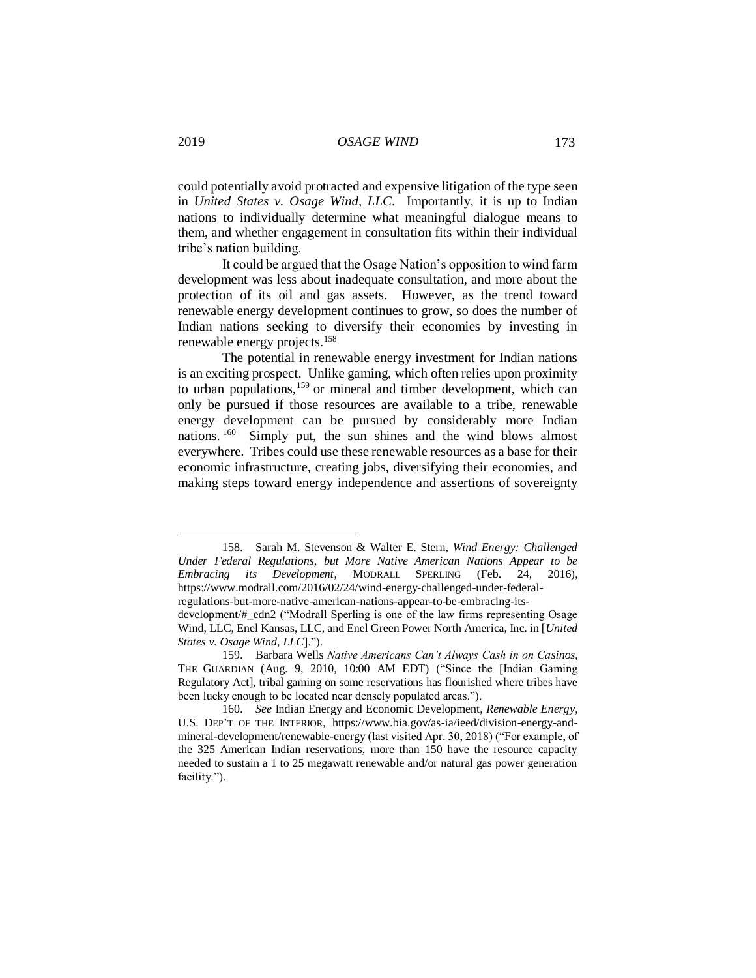could potentially avoid protracted and expensive litigation of the type seen in *United States v. Osage Wind, LLC*. Importantly, it is up to Indian nations to individually determine what meaningful dialogue means to them, and whether engagement in consultation fits within their individual tribe's nation building.

It could be argued that the Osage Nation's opposition to wind farm development was less about inadequate consultation, and more about the protection of its oil and gas assets. However, as the trend toward renewable energy development continues to grow, so does the number of Indian nations seeking to diversify their economies by investing in renewable energy projects.<sup>158</sup>

The potential in renewable energy investment for Indian nations is an exciting prospect. Unlike gaming, which often relies upon proximity to urban populations,<sup>159</sup> or mineral and timber development, which can only be pursued if those resources are available to a tribe, renewable energy development can be pursued by considerably more Indian nations. <sup>160</sup> Simply put, the sun shines and the wind blows almost everywhere. Tribes could use these renewable resources as a base for their economic infrastructure, creating jobs, diversifying their economies, and making steps toward energy independence and assertions of sovereignty

<sup>158.</sup> Sarah M. Stevenson & Walter E. Stern, *Wind Energy: Challenged Under Federal Regulations, but More Native American Nations Appear to be Embracing its Development*, MODRALL SPERLING (Feb. 24, 2016), [https://www.modrall.com/2016/02/24/wind-energy-challenged-under-federal](https://www.modrall.com/2016/02/24/wind-energy-challenged-under-federal-regulations-but-more-native-american-nations-appear-to-be-embracing-its-development/#_edn2)[regulations-but-more-native-american-nations-appear-to-be-embracing-its-](https://www.modrall.com/2016/02/24/wind-energy-challenged-under-federal-regulations-but-more-native-american-nations-appear-to-be-embracing-its-development/#_edn2)

[development/#\\_edn2](https://www.modrall.com/2016/02/24/wind-energy-challenged-under-federal-regulations-but-more-native-american-nations-appear-to-be-embracing-its-development/#_edn2) ("Modrall Sperling is one of the law firms representing Osage Wind, LLC, Enel Kansas, LLC, and Enel Green Power North America, Inc. in [*United States v. Osage Wind, LLC*].").

<sup>159.</sup> Barbara Wells *Native Americans Can't Always Cash in on Casinos*, THE GUARDIAN (Aug. 9, 2010, 10:00 AM EDT) ("Since the [Indian Gaming Regulatory Act], tribal gaming on some reservations has flourished where tribes have been lucky enough to be located near densely populated areas.").

<sup>160.</sup> *See* Indian Energy and Economic Development, *Renewable Energy*, U.S. DEP'T OF THE INTERIOR, [https://www.bia.gov/as-ia/ieed/division-energy-and](https://www.bia.gov/as-ia/ieed/division-energy-and-mineral-development/renewable-energy)[mineral-development/renewable-energy](https://www.bia.gov/as-ia/ieed/division-energy-and-mineral-development/renewable-energy) (last visited Apr. 30, 2018) ("For example, of the 325 American Indian reservations, more than 150 have the resource capacity needed to sustain a 1 to 25 megawatt renewable and/or natural gas power generation facility.").